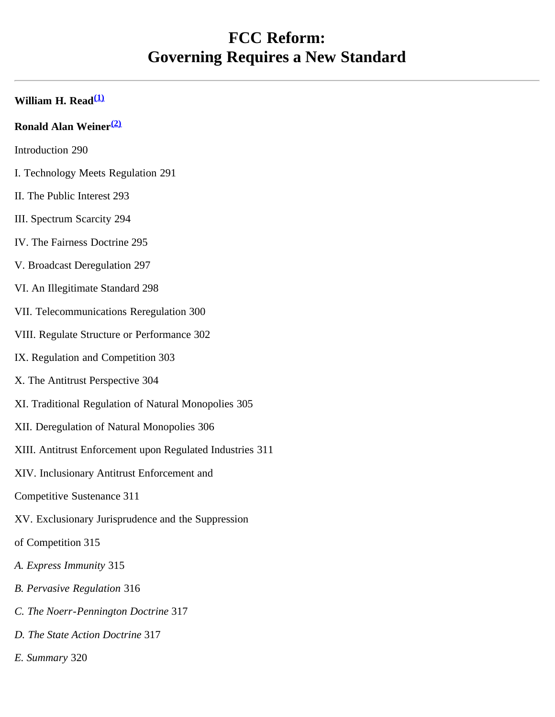### **FCC Reform: Governing Requires a New Standard**

### **William H. Read[\(1\)](#page-18-0)**

### **Ronald Alan Weiner[\(2\)](#page-18-1)**

Introduction 290

- I. Technology Meets Regulation 291
- II. The Public Interest 293
- III. Spectrum Scarcity 294
- IV. The Fairness Doctrine 295
- V. Broadcast Deregulation 297
- VI. An Illegitimate Standard 298
- VII. Telecommunications Reregulation 300
- VIII. Regulate Structure or Performance 302
- IX. Regulation and Competition 303
- X. The Antitrust Perspective 304
- XI. Traditional Regulation of Natural Monopolies 305
- XII. Deregulation of Natural Monopolies 306
- XIII. Antitrust Enforcement upon Regulated Industries 311
- XIV. Inclusionary Antitrust Enforcement and
- Competitive Sustenance 311
- XV. Exclusionary Jurisprudence and the Suppression
- of Competition 315
- *A. Express Immunity* 315
- *B. Pervasive Regulation* 316
- *C. The Noerr-Pennington Doctrine* 317
- *D. The State Action Doctrine* 317
- *E. Summary* 320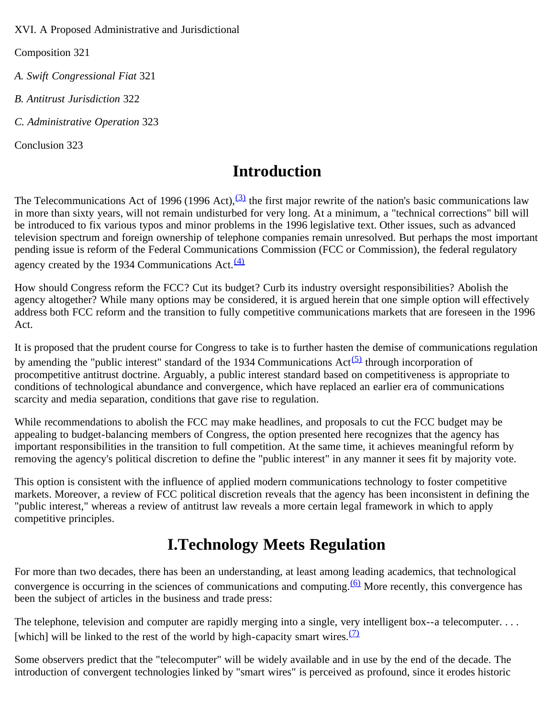XVI. A Proposed Administrative and Jurisdictional

Composition 321

*A. Swift Congressional Fiat* 321

*B. Antitrust Jurisdiction* 322

*C. Administrative Operation* 323

Conclusion 323

# **Introduction**

The Telecommunications Act of 1996 (1996 Act), $\frac{(3)}{2}$  the first major rewrite of the nation's basic communications law in more than sixty years, will not remain undisturbed for very long. At a minimum, a "technical corrections" bill will be introduced to fix various typos and minor problems in the 1996 legislative text. Other issues, such as advanced television spectrum and foreign ownership of telephone companies remain unresolved. But perhaps the most important pending issue is reform of the Federal Communications Commission (FCC or Commission), the federal regulatory agency created by the 1934 Communications Act.  $\frac{4}{2}$ 

How should Congress reform the FCC? Cut its budget? Curb its industry oversight responsibilities? Abolish the agency altogether? While many options may be considered, it is argued herein that one simple option will effectively address both FCC reform and the transition to fully competitive communications markets that are foreseen in the 1996 Act.

It is proposed that the prudent course for Congress to take is to further hasten the demise of communications regulation by amending the "public interest" standard of the 1934 Communications  $Act^{(5)}$  $Act^{(5)}$  $Act^{(5)}$  through incorporation of procompetitive antitrust doctrine. Arguably, a public interest standard based on competitiveness is appropriate to conditions of technological abundance and convergence, which have replaced an earlier era of communications scarcity and media separation, conditions that gave rise to regulation.

While recommendations to abolish the FCC may make headlines, and proposals to cut the FCC budget may be appealing to budget-balancing members of Congress, the option presented here recognizes that the agency has important responsibilities in the transition to full competition. At the same time, it achieves meaningful reform by removing the agency's political discretion to define the "public interest" in any manner it sees fit by majority vote.

This option is consistent with the influence of applied modern communications technology to foster competitive markets. Moreover, a review of FCC political discretion reveals that the agency has been inconsistent in defining the "public interest," whereas a review of antitrust law reveals a more certain legal framework in which to apply competitive principles.

# **I.Technology Meets Regulation**

For more than two decades, there has been an understanding, at least among leading academics, that technological convergence is occurring in the sciences of communications and computing.  $\frac{(6)}{6}$  More recently, this convergence has been the subject of articles in the business and trade press:

The telephone, television and computer are rapidly merging into a single, very intelligent box--a telecomputer. ... [which] will be linked to the rest of the world by high-capacity smart wires. $(7)$ 

Some observers predict that the "telecomputer" will be widely available and in use by the end of the decade. The introduction of convergent technologies linked by "smart wires" is perceived as profound, since it erodes historic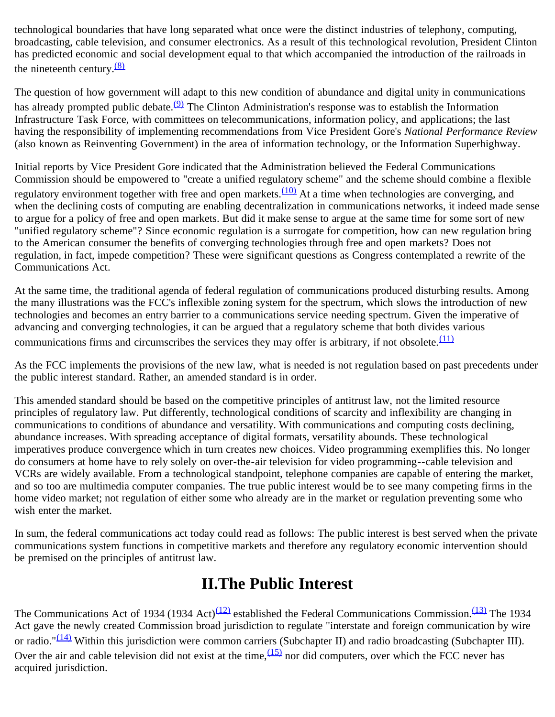technological boundaries that have long separated what once were the distinct industries of telephony, computing, broadcasting, cable television, and consumer electronics. As a result of this technological revolution, President Clinton has predicted economic and social development equal to that which accompanied the introduction of the railroads in the nineteenth century. $\frac{(8)}{8}$  $\frac{(8)}{8}$  $\frac{(8)}{8}$ 

The question of how government will adapt to this new condition of abundance and digital unity in communications has already prompted public debate.<sup>(9)</sup> The Clinton Administration's response was to establish the Information Infrastructure Task Force, with committees on telecommunications, information policy, and applications; the last having the responsibility of implementing recommendations from Vice President Gore's *National Performance Review* (also known as Reinventing Government) in the area of information technology, or the Information Superhighway.

Initial reports by Vice President Gore indicated that the Administration believed the Federal Communications Commission should be empowered to "create a unified regulatory scheme" and the scheme should combine a flexible regulatory environment together with free and open markets. $(10)$  At a time when technologies are converging, and when the declining costs of computing are enabling decentralization in communications networks, it indeed made sense to argue for a policy of free and open markets. But did it make sense to argue at the same time for some sort of new "unified regulatory scheme"? Since economic regulation is a surrogate for competition, how can new regulation bring to the American consumer the benefits of converging technologies through free and open markets? Does not regulation, in fact, impede competition? These were significant questions as Congress contemplated a rewrite of the Communications Act.

At the same time, the traditional agenda of federal regulation of communications produced disturbing results. Among the many illustrations was the FCC's inflexible zoning system for the spectrum, which slows the introduction of new technologies and becomes an entry barrier to a communications service needing spectrum. Given the imperative of advancing and converging technologies, it can be argued that a regulatory scheme that both divides various communications firms and circumscribes the services they may offer is arbitrary, if not obsolete. $\frac{(11)}{(11)}$  $\frac{(11)}{(11)}$  $\frac{(11)}{(11)}$ 

As the FCC implements the provisions of the new law, what is needed is not regulation based on past precedents under the public interest standard. Rather, an amended standard is in order.

This amended standard should be based on the competitive principles of antitrust law, not the limited resource principles of regulatory law. Put differently, technological conditions of scarcity and inflexibility are changing in communications to conditions of abundance and versatility. With communications and computing costs declining, abundance increases. With spreading acceptance of digital formats, versatility abounds. These technological imperatives produce convergence which in turn creates new choices. Video programming exemplifies this. No longer do consumers at home have to rely solely on over-the-air television for video programming--cable television and VCRs are widely available. From a technological standpoint, telephone companies are capable of entering the market, and so too are multimedia computer companies. The true public interest would be to see many competing firms in the home video market; not regulation of either some who already are in the market or regulation preventing some who wish enter the market.

In sum, the federal communications act today could read as follows: The public interest is best served when the private communications system functions in competitive markets and therefore any regulatory economic intervention should be premised on the principles of antitrust law.

### **II.The Public Interest**

The Communications Act of 1934 (1934 Act)<sup>(12)</sup> established the Federal Communications Commission.<sup>(13)</sup> The 1934 Act gave the newly created Commission broad jurisdiction to regulate "interstate and foreign communication by wire or radio." $(14)$  Within this jurisdiction were common carriers (Subchapter II) and radio broadcasting (Subchapter III). Over the air and cable television did not exist at the time,  $(15)$  nor did computers, over which the FCC never has acquired jurisdiction.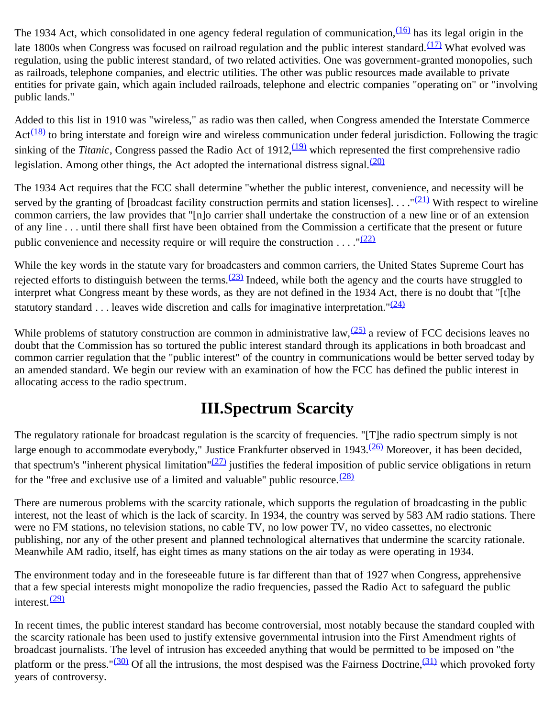The 1934 Act, which consolidated in one agency federal regulation of communication,  $(16)$  has its legal origin in the late 1800s when Congress was focused on railroad regulation and the public interest standard. $(17)$  What evolved was regulation, using the public interest standard, of two related activities. One was government-granted monopolies, such as railroads, telephone companies, and electric utilities. The other was public resources made available to private entities for private gain, which again included railroads, telephone and electric companies "operating on" or "involving public lands."

Added to this list in 1910 was "wireless," as radio was then called, when Congress amended the Interstate Commerce Act<sup>(18)</sup> to bring interstate and foreign wire and wireless communication under federal jurisdiction. Following the tragic sinking of the *Titanic*, Congress passed the Radio Act of  $1912$ ,  $\frac{(19)}{(19)}$  which represented the first comprehensive radio legislation. Among other things, the Act adopted the international distress signal.  $\frac{(20)}{20}$  $\frac{(20)}{20}$  $\frac{(20)}{20}$ 

The 1934 Act requires that the FCC shall determine "whether the public interest, convenience, and necessity will be served by the granting of [broadcast facility construction permits and station licenses]. . . . " $(21)$  With respect to wireline common carriers, the law provides that "[n]o carrier shall undertake the construction of a new line or of an extension of any line . . . until there shall first have been obtained from the Commission a certificate that the present or future public convenience and necessity require or will require the construction . . . . " $\frac{(22)}{2}$  $\frac{(22)}{2}$  $\frac{(22)}{2}$ 

While the key words in the statute vary for broadcasters and common carriers, the United States Supreme Court has rejected efforts to distinguish between the terms.  $\frac{(23)}{21}$  Indeed, while both the agency and the courts have struggled to interpret what Congress meant by these words, as they are not defined in the 1934 Act, there is no doubt that "[t]he statutory standard . . . leaves wide discretion and calls for imaginative interpretation." $(24)$ 

While problems of statutory construction are common in administrative law,  $\frac{(25)}{2}$  a review of FCC decisions leaves no doubt that the Commission has so tortured the public interest standard through its applications in both broadcast and common carrier regulation that the "public interest" of the country in communications would be better served today by an amended standard. We begin our review with an examination of how the FCC has defined the public interest in allocating access to the radio spectrum.

### **III.Spectrum Scarcity**

The regulatory rationale for broadcast regulation is the scarcity of frequencies. "[T]he radio spectrum simply is not large enough to accommodate everybody," Justice Frankfurter observed in 1943.<sup>(26)</sup> Moreover, it has been decided, that spectrum's "inherent physical limitation" $(27)$  justifies the federal imposition of public service obligations in return for the "free and exclusive use of a limited and valuable" public resource.  $(28)$ 

There are numerous problems with the scarcity rationale, which supports the regulation of broadcasting in the public interest, not the least of which is the lack of scarcity. In 1934, the country was served by 583 AM radio stations. There were no FM stations, no television stations, no cable TV, no low power TV, no video cassettes, no electronic publishing, nor any of the other present and planned technological alternatives that undermine the scarcity rationale. Meanwhile AM radio, itself, has eight times as many stations on the air today as were operating in 1934.

The environment today and in the foreseeable future is far different than that of 1927 when Congress, apprehensive that a few special interests might monopolize the radio frequencies, passed the Radio Act to safeguard the public interest. $(29)$ 

In recent times, the public interest standard has become controversial, most notably because the standard coupled with the scarcity rationale has been used to justify extensive governmental intrusion into the First Amendment rights of broadcast journalists. The level of intrusion has exceeded anything that would be permitted to be imposed on "the platform or the press." $(30)$  Of all the intrusions, the most despised was the Fairness Doctrine,  $(31)$  which provoked forty years of controversy.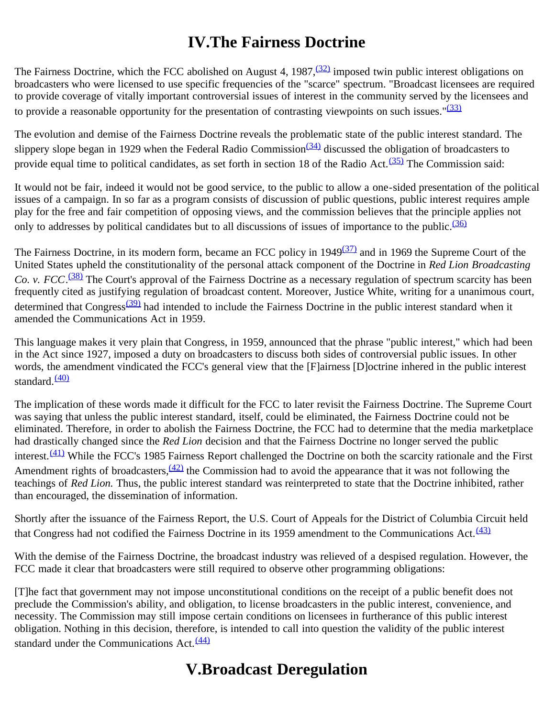### **IV.The Fairness Doctrine**

The Fairness Doctrine, which the FCC abolished on August 4, 1987,  $\frac{(32)}{2}$  imposed twin public interest obligations on broadcasters who were licensed to use specific frequencies of the "scarce" spectrum. "Broadcast licensees are required to provide coverage of vitally important controversial issues of interest in the community served by the licensees and to provide a reasonable opportunity for the presentation of contrasting viewpoints on such issues." $(33)$ 

The evolution and demise of the Fairness Doctrine reveals the problematic state of the public interest standard. The slippery slope began in 1929 when the Federal Radio Commission $\frac{(34)}{34}$  discussed the obligation of broadcasters to provide equal time to political candidates, as set forth in section 18 of the Radio Act. $(35)$  The Commission said:

It would not be fair, indeed it would not be good service, to the public to allow a one-sided presentation of the political issues of a campaign. In so far as a program consists of discussion of public questions, public interest requires ample play for the free and fair competition of opposing views, and the commission believes that the principle applies not only to addresses by political candidates but to all discussions of issues of importance to the public.<sup>[\(36\)](#page-19-19)</sup>

The Fairness Doctrine, in its modern form, became an FCC policy in 1949<sup>(37)</sup> and in 1969 the Supreme Court of the United States upheld the constitutionality of the personal attack component of the Doctrine in *Red Lion Broadcasting* Co. v. FCC.<sup>(38)</sup> The Court's approval of the Fairness Doctrine as a necessary regulation of spectrum scarcity has been frequently cited as justifying regulation of broadcast content. Moreover, Justice White, writing for a unanimous court, determined that Congress<sup>(39)</sup> had intended to include the Fairness Doctrine in the public interest standard when it amended the Communications Act in 1959.

This language makes it very plain that Congress, in 1959, announced that the phrase "public interest," which had been in the Act since 1927, imposed a duty on broadcasters to discuss both sides of controversial public issues. In other words, the amendment vindicated the FCC's general view that the [F]airness [D]octrine inhered in the public interest standard $\frac{(40)}{2}$  $\frac{(40)}{2}$  $\frac{(40)}{2}$ 

The implication of these words made it difficult for the FCC to later revisit the Fairness Doctrine. The Supreme Court was saying that unless the public interest standard, itself, could be eliminated, the Fairness Doctrine could not be eliminated. Therefore, in order to abolish the Fairness Doctrine, the FCC had to determine that the media marketplace had drastically changed since the *Red Lion* decision and that the Fairness Doctrine no longer served the public interest. $\frac{(41)}{(41)}$  While the FCC's 1985 Fairness Report challenged the Doctrine on both the scarcity rationale and the First Amendment rights of broadcasters,  $\frac{(42)}{2}$  the Commission had to avoid the appearance that it was not following the teachings of *Red Lion.* Thus, the public interest standard was reinterpreted to state that the Doctrine inhibited, rather than encouraged, the dissemination of information.

Shortly after the issuance of the Fairness Report, the U.S. Court of Appeals for the District of Columbia Circuit held that Congress had not codified the Fairness Doctrine in its 1959 amendment to the Communications Act.<sup>[\(43\)](#page-20-3)</sup>

With the demise of the Fairness Doctrine, the broadcast industry was relieved of a despised regulation. However, the FCC made it clear that broadcasters were still required to observe other programming obligations:

[T]he fact that government may not impose unconstitutional conditions on the receipt of a public benefit does not preclude the Commission's ability, and obligation, to license broadcasters in the public interest, convenience, and necessity. The Commission may still impose certain conditions on licensees in furtherance of this public interest obligation. Nothing in this decision, therefore, is intended to call into question the validity of the public interest standard under the Communications Act.<sup>[\(44\)](#page-20-4)</sup>

# **V.Broadcast Deregulation**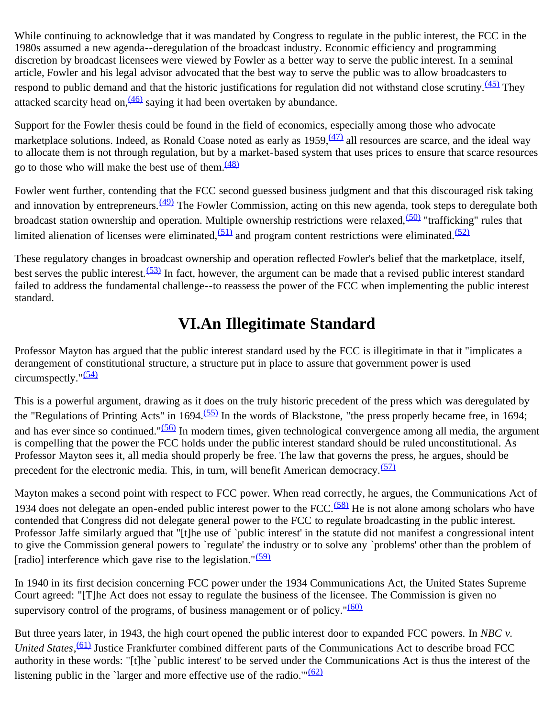While continuing to acknowledge that it was mandated by Congress to regulate in the public interest, the FCC in the 1980s assumed a new agenda--deregulation of the broadcast industry. Economic efficiency and programming discretion by broadcast licensees were viewed by Fowler as a better way to serve the public interest. In a seminal article, Fowler and his legal advisor advocated that the best way to serve the public was to allow broadcasters to respond to public demand and that the historic justifications for regulation did not withstand close scrutiny.  $\frac{(45)}{1}$  They attacked scarcity head on,  $\frac{(46)}{2}$  saying it had been overtaken by abundance.

Support for the Fowler thesis could be found in the field of economics, especially among those who advocate marketplace solutions. Indeed, as Ronald Coase noted as early as  $1959 \frac{(47)}{41}$  all resources are scarce, and the ideal way to allocate them is not through regulation, but by a market-based system that uses prices to ensure that scarce resources go to those who will make the best use of them. $\frac{(48)}{2}$  $\frac{(48)}{2}$  $\frac{(48)}{2}$ 

Fowler went further, contending that the FCC second guessed business judgment and that this discouraged risk taking and innovation by entrepreneurs.  $(49)$  The Fowler Commission, acting on this new agenda, took steps to deregulate both broadcast station ownership and operation. Multiple ownership restrictions were relaxed,  $(50)$  "trafficking" rules that limited alienation of licenses were eliminated,  $(51)$  and program content restrictions were eliminated.  $(52)$ 

These regulatory changes in broadcast ownership and operation reflected Fowler's belief that the marketplace, itself, best serves the public interest.<sup>(53)</sup> In fact, however, the argument can be made that a revised public interest standard failed to address the fundamental challenge--to reassess the power of the FCC when implementing the public interest standard.

# **VI.An Illegitimate Standard**

Professor Mayton has argued that the public interest standard used by the FCC is illegitimate in that it "implicates a derangement of constitutional structure, a structure put in place to assure that government power is used circumspectly." $\frac{(54)}{2}$  $\frac{(54)}{2}$  $\frac{(54)}{2}$ 

This is a powerful argument, drawing as it does on the truly historic precedent of the press which was deregulated by the "Regulations of Printing Acts" in 1694.<sup>(55)</sup> In the words of Blackstone, "the press properly became free, in 1694; and has ever since so continued." $(56)$  In modern times, given technological convergence among all media, the argument is compelling that the power the FCC holds under the public interest standard should be ruled unconstitutional. As Professor Mayton sees it, all media should properly be free. The law that governs the press, he argues, should be precedent for the electronic media. This, in turn, will benefit American democracy.<sup> $(57)$ </sup>

Mayton makes a second point with respect to FCC power. When read correctly, he argues, the Communications Act of 1934 does not delegate an open-ended public interest power to the FCC.<sup>(58)</sup> He is not alone among scholars who have contended that Congress did not delegate general power to the FCC to regulate broadcasting in the public interest. Professor Jaffe similarly argued that "[t]he use of `public interest' in the statute did not manifest a congressional intent to give the Commission general powers to `regulate' the industry or to solve any `problems' other than the problem of [radio] interference which gave rise to the legislation." $(59)$ 

In 1940 in its first decision concerning FCC power under the 1934 Communications Act, the United States Supreme Court agreed: "[T]he Act does not essay to regulate the business of the licensee. The Commission is given no supervisory control of the programs, of business management or of policy." $(60)$ 

But three years later, in 1943, the high court opened the public interest door to expanded FCC powers. In *NBC v.* United States,<sup>(61)</sup> Justice Frankfurter combined different parts of the Communications Act to describe broad FCC authority in these words: "[t]he `public interest' to be served under the Communications Act is thus the interest of the listening public in the 'larger and more effective use of the radio.'" $(62)$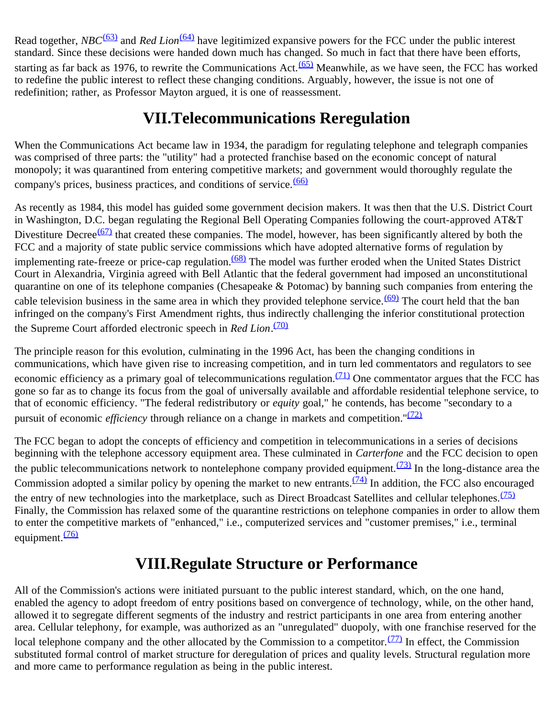Read together, *NBC*<sup>(63)</sup> and *Red Lion*<sup>(64)</sup> have legitimized expansive powers for the FCC under the public interest standard. Since these decisions were handed down much has changed. So much in fact that there have been efforts, starting as far back as 1976, to rewrite the Communications Act.<sup>(65)</sup> Meanwhile, as we have seen, the FCC has worked to redefine the public interest to reflect these changing conditions. Arguably, however, the issue is not one of redefinition; rather, as Professor Mayton argued, it is one of reassessment.

### **VII.Telecommunications Reregulation**

When the Communications Act became law in 1934, the paradigm for regulating telephone and telegraph companies was comprised of three parts: the "utility" had a protected franchise based on the economic concept of natural monopoly; it was quarantined from entering competitive markets; and government would thoroughly regulate the company's prices, business practices, and conditions of service.<sup>[\(66\)](#page-21-3)</sup>

As recently as 1984, this model has guided some government decision makers. It was then that the U.S. District Court in Washington, D.C. began regulating the Regional Bell Operating Companies following the court-approved AT&T Divestiture Decree $\frac{(67)}{2}$  that created these companies. The model, however, has been significantly altered by both the FCC and a majority of state public service commissions which have adopted alternative forms of regulation by implementing rate-freeze or price-cap regulation.<sup>(68)</sup> The model was further eroded when the United States District Court in Alexandria, Virginia agreed with Bell Atlantic that the federal government had imposed an unconstitutional quarantine on one of its telephone companies (Chesapeake & Potomac) by banning such companies from entering the cable television business in the same area in which they provided telephone service.<sup>(69)</sup> The court held that the ban infringed on the company's First Amendment rights, thus indirectly challenging the inferior constitutional protection the Supreme Court afforded electronic speech in *Red Lion*.<sup>[\(70\)](#page-21-7)</sup>

The principle reason for this evolution, culminating in the 1996 Act, has been the changing conditions in communications, which have given rise to increasing competition, and in turn led commentators and regulators to see economic efficiency as a primary goal of telecommunications regulation.<sup> $(71)$ </sup> One commentator argues that the FCC has gone so far as to change its focus from the goal of universally available and affordable residential telephone service, to that of economic efficiency. "The federal redistributory or *equity* goal," he contends, has become "secondary to a pursuit of economic *efficiency* through reliance on a change in markets and competition."[\(72\)](#page-21-9)

The FCC began to adopt the concepts of efficiency and competition in telecommunications in a series of decisions beginning with the telephone accessory equipment area. These culminated in *Carterfone* and the FCC decision to open the public telecommunications network to nontelephone company provided equipment.<sup>(73)</sup> In the long-distance area the Commission adopted a similar policy by opening the market to new entrants.  $(74)$  In addition, the FCC also encouraged the entry of new technologies into the marketplace, such as Direct Broadcast Satellites and cellular telephones. $\frac{(75)}{20}$  $\frac{(75)}{20}$  $\frac{(75)}{20}$ Finally, the Commission has relaxed some of the quarantine restrictions on telephone companies in order to allow them to enter the competitive markets of "enhanced," i.e., computerized services and "customer premises," i.e., terminal equipment. $\frac{(76)}{6}$  $\frac{(76)}{6}$  $\frac{(76)}{6}$ 

# **VIII.Regulate Structure or Performance**

All of the Commission's actions were initiated pursuant to the public interest standard, which, on the one hand, enabled the agency to adopt freedom of entry positions based on convergence of technology, while, on the other hand, allowed it to segregate different segments of the industry and restrict participants in one area from entering another area. Cellular telephony, for example, was authorized as an "unregulated" duopoly, with one franchise reserved for the local telephone company and the other allocated by the Commission to a competitor. $(77)$  In effect, the Commission substituted formal control of market structure for deregulation of prices and quality levels. Structural regulation more and more came to performance regulation as being in the public interest.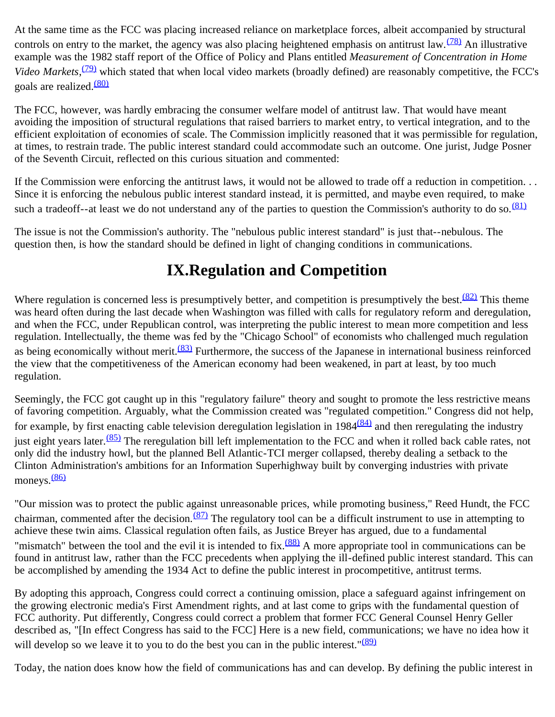At the same time as the FCC was placing increased reliance on marketplace forces, albeit accompanied by structural controls on entry to the market, the agency was also placing heightened emphasis on antitrust law.  $(78)$  An illustrative example was the 1982 staff report of the Office of Policy and Plans entitled *Measurement of Concentration in Home* Video Markets,<sup>(79)</sup> which stated that when local video markets (broadly defined) are reasonably competitive, the FCC's goals are realized.<sup>[\(80\)](#page-21-17)</sup>

The FCC, however, was hardly embracing the consumer welfare model of antitrust law. That would have meant avoiding the imposition of structural regulations that raised barriers to market entry, to vertical integration, and to the efficient exploitation of economies of scale. The Commission implicitly reasoned that it was permissible for regulation, at times, to restrain trade. The public interest standard could accommodate such an outcome. One jurist, Judge Posner of the Seventh Circuit, reflected on this curious situation and commented:

If the Commission were enforcing the antitrust laws, it would not be allowed to trade off a reduction in competition. . . Since it is enforcing the nebulous public interest standard instead, it is permitted, and maybe even required, to make such a tradeoff--at least we do not understand any of the parties to question the Commission's authority to do so. $\frac{(81)}{2}$  $\frac{(81)}{2}$  $\frac{(81)}{2}$ 

The issue is not the Commission's authority. The "nebulous public interest standard" is just that--nebulous. The question then, is how the standard should be defined in light of changing conditions in communications.

# **IX.Regulation and Competition**

Where regulation is concerned less is presumptively better, and competition is presumptively the best.<sup>(82)</sup> This theme was heard often during the last decade when Washington was filled with calls for regulatory reform and deregulation, and when the FCC, under Republican control, was interpreting the public interest to mean more competition and less regulation. Intellectually, the theme was fed by the "Chicago School" of economists who challenged much regulation as being economically without merit.<sup>(83)</sup> Furthermore, the success of the Japanese in international business reinforced the view that the competitiveness of the American economy had been weakened, in part at least, by too much regulation.

Seemingly, the FCC got caught up in this "regulatory failure" theory and sought to promote the less restrictive means of favoring competition. Arguably, what the Commission created was "regulated competition." Congress did not help, for example, by first enacting cable television deregulation legislation in  $1984^{(84)}$  and then reregulating the industry just eight years later.<sup>(85)</sup> The reregulation bill left implementation to the FCC and when it rolled back cable rates, not only did the industry howl, but the planned Bell Atlantic-TCI merger collapsed, thereby dealing a setback to the Clinton Administration's ambitions for an Information Superhighway built by converging industries with private moneys. $\frac{(86)}{2}$  $\frac{(86)}{2}$  $\frac{(86)}{2}$ 

"Our mission was to protect the public against unreasonable prices, while promoting business," Reed Hundt, the FCC chairman, commented after the decision. $\frac{(87)}{2}$  The regulatory tool can be a difficult instrument to use in attempting to achieve these twin aims. Classical regulation often fails, as Justice Breyer has argued, due to a fundamental "mismatch" between the tool and the evil it is intended to fix. $\frac{(88)}{9}$  A more appropriate tool in communications can be found in antitrust law, rather than the FCC precedents when applying the ill-defined public interest standard. This can be accomplished by amending the 1934 Act to define the public interest in procompetitive, antitrust terms.

By adopting this approach, Congress could correct a continuing omission, place a safeguard against infringement on the growing electronic media's First Amendment rights, and at last come to grips with the fundamental question of FCC authority. Put differently, Congress could correct a problem that former FCC General Counsel Henry Geller described as, "[In effect Congress has said to the FCC] Here is a new field, communications; we have no idea how it will develop so we leave it to you to do the best you can in the public interest." $(89)$ 

Today, the nation does know how the field of communications has and can develop. By defining the public interest in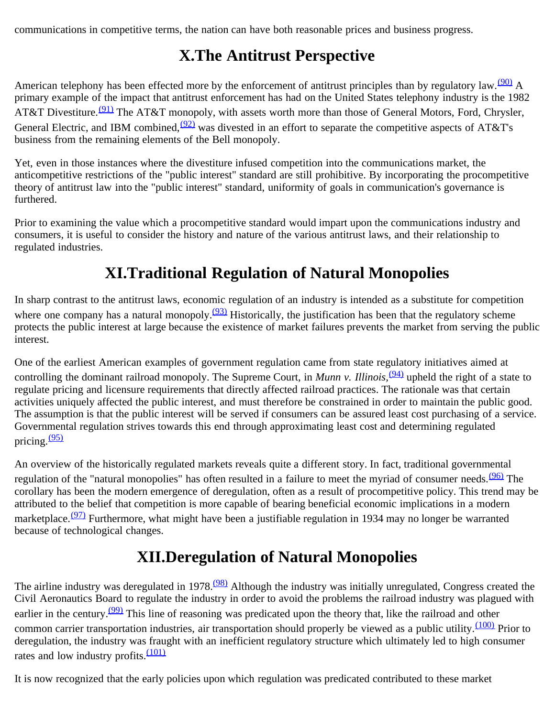communications in competitive terms, the nation can have both reasonable prices and business progress.

# **X.The Antitrust Perspective**

American telephony has been effected more by the enforcement of antitrust principles than by regulatory law. $\frac{(90)}{90}$  A primary example of the impact that antitrust enforcement has had on the United States telephony industry is the 1982 AT&T Divestiture.<sup>(91)</sup> The AT&T monopoly, with assets worth more than those of General Motors, Ford, Chrysler, General Electric, and IBM combined,  $\frac{(92)}{2}$  was divested in an effort to separate the competitive aspects of AT&T's business from the remaining elements of the Bell monopoly.

Yet, even in those instances where the divestiture infused competition into the communications market, the anticompetitive restrictions of the "public interest" standard are still prohibitive. By incorporating the procompetitive theory of antitrust law into the "public interest" standard, uniformity of goals in communication's governance is furthered.

Prior to examining the value which a procompetitive standard would impart upon the communications industry and consumers, it is useful to consider the history and nature of the various antitrust laws, and their relationship to regulated industries.

# **XI.Traditional Regulation of Natural Monopolies**

In sharp contrast to the antitrust laws, economic regulation of an industry is intended as a substitute for competition where one company has a natural monopoly.<sup>(93)</sup> Historically, the justification has been that the regulatory scheme protects the public interest at large because the existence of market failures prevents the market from serving the public interest.

One of the earliest American examples of government regulation came from state regulatory initiatives aimed at controlling the dominant railroad monopoly. The Supreme Court, in *Munn v. Illinois*,<sup>(94)</sup> upheld the right of a state to regulate pricing and licensure requirements that directly affected railroad practices. The rationale was that certain activities uniquely affected the public interest, and must therefore be constrained in order to maintain the public good. The assumption is that the public interest will be served if consumers can be assured least cost purchasing of a service. Governmental regulation strives towards this end through approximating least cost and determining regulated pricing.[\(95\)](#page-22-13)

An overview of the historically regulated markets reveals quite a different story. In fact, traditional governmental regulation of the "natural monopolies" has often resulted in a failure to meet the myriad of consumer needs.<sup>(96)</sup> The corollary has been the modern emergence of deregulation, often as a result of procompetitive policy. This trend may be attributed to the belief that competition is more capable of bearing beneficial economic implications in a modern marketplace.<sup>(97)</sup> Furthermore, what might have been a justifiable regulation in 1934 may no longer be warranted because of technological changes.

# **XII.Deregulation of Natural Monopolies**

The airline industry was deregulated in 1978.<sup>(98)</sup> Although the industry was initially unregulated, Congress created the Civil Aeronautics Board to regulate the industry in order to avoid the problems the railroad industry was plagued with earlier in the century.<sup>(99)</sup> This line of reasoning was predicated upon the theory that, like the railroad and other common carrier transportation industries, air transportation should properly be viewed as a public utility.  $(100)$  Prior to deregulation, the industry was fraught with an inefficient regulatory structure which ultimately led to high consumer rates and low industry profits. $\frac{(101)}{2}$  $\frac{(101)}{2}$  $\frac{(101)}{2}$ 

It is now recognized that the early policies upon which regulation was predicated contributed to these market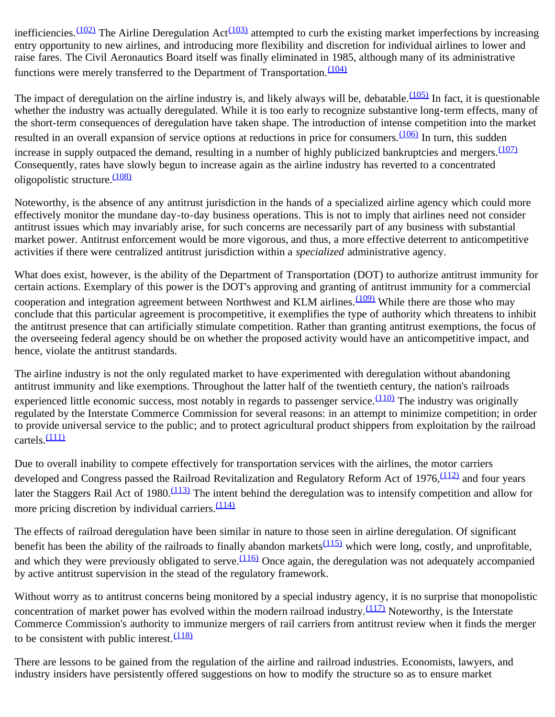inefficiencies. $\frac{(102)}{102}$  $\frac{(102)}{102}$  $\frac{(102)}{102}$  The Airline Deregulation Act $\frac{(103)}{102}$  $\frac{(103)}{102}$  $\frac{(103)}{102}$  attempted to curb the existing market imperfections by increasing entry opportunity to new airlines, and introducing more flexibility and discretion for individual airlines to lower and raise fares. The Civil Aeronautics Board itself was finally eliminated in 1985, although many of its administrative functions were merely transferred to the Department of Transportation. $\frac{(104)}{2}$  $\frac{(104)}{2}$  $\frac{(104)}{2}$ 

The impact of deregulation on the airline industry is, and likely always will be, debatable.  $(105)$  In fact, it is questionable whether the industry was actually deregulated. While it is too early to recognize substantive long-term effects, many of the short-term consequences of deregulation have taken shape. The introduction of intense competition into the market resulted in an overall expansion of service options at reductions in price for consumers.<sup>(106)</sup> In turn, this sudden increase in supply outpaced the demand, resulting in a number of highly publicized bankruptcies and mergers. $\frac{(107)}{(107)}$  $\frac{(107)}{(107)}$  $\frac{(107)}{(107)}$ Consequently, rates have slowly begun to increase again as the airline industry has reverted to a concentrated oligopolistic structure.<sup>[\(108\)](#page-23-4)</sup>

Noteworthy, is the absence of any antitrust jurisdiction in the hands of a specialized airline agency which could more effectively monitor the mundane day-to-day business operations. This is not to imply that airlines need not consider antitrust issues which may invariably arise, for such concerns are necessarily part of any business with substantial market power. Antitrust enforcement would be more vigorous, and thus, a more effective deterrent to anticompetitive activities if there were centralized antitrust jurisdiction within a *specialized* administrative agency.

What does exist, however, is the ability of the Department of Transportation (DOT) to authorize antitrust immunity for certain actions. Exemplary of this power is the DOT's approving and granting of antitrust immunity for a commercial cooperation and integration agreement between Northwest and KLM airlines.<sup>(109)</sup> While there are those who may conclude that this particular agreement is procompetitive, it exemplifies the type of authority which threatens to inhibit the antitrust presence that can artificially stimulate competition. Rather than granting antitrust exemptions, the focus of the overseeing federal agency should be on whether the proposed activity would have an anticompetitive impact, and hence, violate the antitrust standards.

The airline industry is not the only regulated market to have experimented with deregulation without abandoning antitrust immunity and like exemptions. Throughout the latter half of the twentieth century, the nation's railroads experienced little economic success, most notably in regards to passenger service.  $(110)$  The industry was originally regulated by the Interstate Commerce Commission for several reasons: in an attempt to minimize competition; in order to provide universal service to the public; and to protect agricultural product shippers from exploitation by the railroad cartels. $\frac{(111)}{2}$  $\frac{(111)}{2}$  $\frac{(111)}{2}$ 

Due to overall inability to compete effectively for transportation services with the airlines, the motor carriers developed and Congress passed the Railroad Revitalization and Regulatory Reform Act of 1976, <sup>(112)</sup> and four years later the Staggers Rail Act of 1980.<sup>(113)</sup> The intent behind the deregulation was to intensify competition and allow for more pricing discretion by individual carriers. $\frac{(114)}{2}$  $\frac{(114)}{2}$  $\frac{(114)}{2}$ 

The effects of railroad deregulation have been similar in nature to those seen in airline deregulation. Of significant benefit has been the ability of the railroads to finally abandon markets $(115)$  which were long, costly, and unprofitable, and which they were previously obligated to serve.  $(116)$  Once again, the deregulation was not adequately accompanied by active antitrust supervision in the stead of the regulatory framework.

Without worry as to antitrust concerns being monitored by a special industry agency, it is no surprise that monopolistic concentration of market power has evolved within the modern railroad industry. $(117)$  Noteworthy, is the Interstate Commerce Commission's authority to immunize mergers of rail carriers from antitrust review when it finds the merger to be consistent with public interest.  $(118)$ 

There are lessons to be gained from the regulation of the airline and railroad industries. Economists, lawyers, and industry insiders have persistently offered suggestions on how to modify the structure so as to ensure market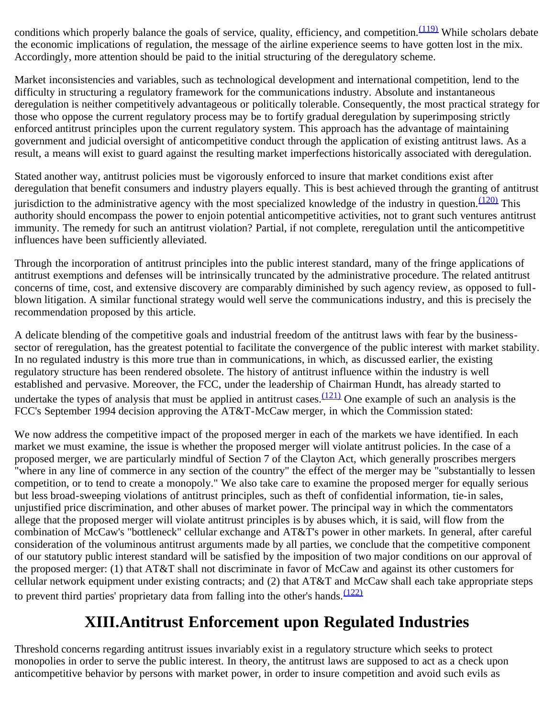conditions which properly balance the goals of service, quality, efficiency, and competition.  $(119)$  While scholars debate the economic implications of regulation, the message of the airline experience seems to have gotten lost in the mix. Accordingly, more attention should be paid to the initial structuring of the deregulatory scheme.

Market inconsistencies and variables, such as technological development and international competition, lend to the difficulty in structuring a regulatory framework for the communications industry. Absolute and instantaneous deregulation is neither competitively advantageous or politically tolerable. Consequently, the most practical strategy for those who oppose the current regulatory process may be to fortify gradual deregulation by superimposing strictly enforced antitrust principles upon the current regulatory system. This approach has the advantage of maintaining government and judicial oversight of anticompetitive conduct through the application of existing antitrust laws. As a result, a means will exist to guard against the resulting market imperfections historically associated with deregulation.

Stated another way, antitrust policies must be vigorously enforced to insure that market conditions exist after deregulation that benefit consumers and industry players equally. This is best achieved through the granting of antitrust jurisdiction to the administrative agency with the most specialized knowledge of the industry in question.<sup>[\(120\)](#page-23-16)</sup> This authority should encompass the power to enjoin potential anticompetitive activities, not to grant such ventures antitrust immunity. The remedy for such an antitrust violation? Partial, if not complete, reregulation until the anticompetitive influences have been sufficiently alleviated.

Through the incorporation of antitrust principles into the public interest standard, many of the fringe applications of antitrust exemptions and defenses will be intrinsically truncated by the administrative procedure. The related antitrust concerns of time, cost, and extensive discovery are comparably diminished by such agency review, as opposed to fullblown litigation. A similar functional strategy would well serve the communications industry, and this is precisely the recommendation proposed by this article.

A delicate blending of the competitive goals and industrial freedom of the antitrust laws with fear by the businesssector of reregulation, has the greatest potential to facilitate the convergence of the public interest with market stability. In no regulated industry is this more true than in communications, in which, as discussed earlier, the existing regulatory structure has been rendered obsolete. The history of antitrust influence within the industry is well established and pervasive. Moreover, the FCC, under the leadership of Chairman Hundt, has already started to undertake the types of analysis that must be applied in antitrust cases.  $(121)$  One example of such an analysis is the FCC's September 1994 decision approving the AT&T-McCaw merger, in which the Commission stated:

We now address the competitive impact of the proposed merger in each of the markets we have identified. In each market we must examine, the issue is whether the proposed merger will violate antitrust policies. In the case of a proposed merger, we are particularly mindful of Section 7 of the Clayton Act, which generally proscribes mergers "where in any line of commerce in any section of the country" the effect of the merger may be "substantially to lessen competition, or to tend to create a monopoly." We also take care to examine the proposed merger for equally serious but less broad-sweeping violations of antitrust principles, such as theft of confidential information, tie-in sales, unjustified price discrimination, and other abuses of market power. The principal way in which the commentators allege that the proposed merger will violate antitrust principles is by abuses which, it is said, will flow from the combination of McCaw's "bottleneck" cellular exchange and AT&T's power in other markets. In general, after careful consideration of the voluminous antitrust arguments made by all parties, we conclude that the competitive component of our statutory public interest standard will be satisfied by the imposition of two major conditions on our approval of the proposed merger: (1) that AT&T shall not discriminate in favor of McCaw and against its other customers for cellular network equipment under existing contracts; and (2) that AT&T and McCaw shall each take appropriate steps to prevent third parties' proprietary data from falling into the other's hands.  $(122)$ 

### **XIII.Antitrust Enforcement upon Regulated Industries**

Threshold concerns regarding antitrust issues invariably exist in a regulatory structure which seeks to protect monopolies in order to serve the public interest. In theory, the antitrust laws are supposed to act as a check upon anticompetitive behavior by persons with market power, in order to insure competition and avoid such evils as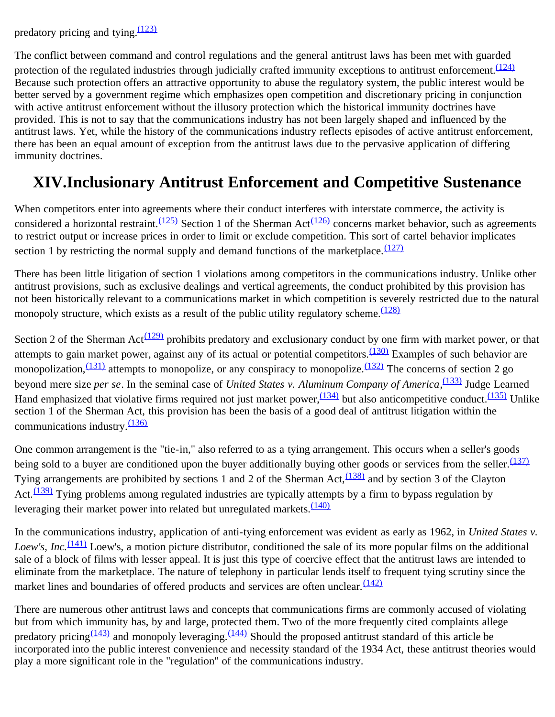predatory pricing and tying. $\frac{(123)}{2}$  $\frac{(123)}{2}$  $\frac{(123)}{2}$ 

The conflict between command and control regulations and the general antitrust laws has been met with guarded protection of the regulated industries through judicially crafted immunity exceptions to antitrust enforcement. $\frac{(124)}{2}$  $\frac{(124)}{2}$  $\frac{(124)}{2}$ Because such protection offers an attractive opportunity to abuse the regulatory system, the public interest would be better served by a government regime which emphasizes open competition and discretionary pricing in conjunction with active antitrust enforcement without the illusory protection which the historical immunity doctrines have provided. This is not to say that the communications industry has not been largely shaped and influenced by the antitrust laws. Yet, while the history of the communications industry reflects episodes of active antitrust enforcement, there has been an equal amount of exception from the antitrust laws due to the pervasive application of differing immunity doctrines.

### **XIV.Inclusionary Antitrust Enforcement and Competitive Sustenance**

When competitors enter into agreements where their conduct interferes with interstate commerce, the activity is considered a horizontal restraint.  $(125)$  Section 1 of the Sherman Act $(126)$  concerns market behavior, such as agreements to restrict output or increase prices in order to limit or exclude competition. This sort of cartel behavior implicates section 1 by restricting the normal supply and demand functions of the marketplace. $\frac{(127)}{2}$  $\frac{(127)}{2}$  $\frac{(127)}{2}$ 

There has been little litigation of section 1 violations among competitors in the communications industry. Unlike other antitrust provisions, such as exclusive dealings and vertical agreements, the conduct prohibited by this provision has not been historically relevant to a communications market in which competition is severely restricted due to the natural monopoly structure, which exists as a result of the public utility regulatory scheme. $\frac{(128)}{2}$  $\frac{(128)}{2}$  $\frac{(128)}{2}$ 

Section 2 of the Sherman Act<sup> $(129)$ </sup> prohibits predatory and exclusionary conduct by one firm with market power, or that attempts to gain market power, against any of its actual or potential competitors.  $(130)$  Examples of such behavior are monopolization,  $\frac{(131)}{2}$  attempts to monopolize, or any conspiracy to monopolize.  $\frac{(132)}{2}$  $\frac{(132)}{2}$  $\frac{(132)}{2}$  The concerns of section 2 go beyond mere size *per se*. In the seminal case of *United States v. Aluminum Company of America*, <sup>(133)</sup> Judge Learned Hand emphasized that violative firms required not just market power,  $(134)$  but also anticompetitive conduct.  $(135)$  Unlike section 1 of the Sherman Act, this provision has been the basis of a good deal of antitrust litigation within the communications industry. $\frac{(136)}{2}$  $\frac{(136)}{2}$  $\frac{(136)}{2}$ 

One common arrangement is the "tie-in," also referred to as a tying arrangement. This occurs when a seller's goods being sold to a buyer are conditioned upon the buyer additionally buying other goods or services from the seller.<sup>[\(137\)](#page-25-5)</sup> Tying arrangements are prohibited by sections 1 and 2 of the Sherman Act,  $(138)$  and by section 3 of the Clayton Act.<sup>(139)</sup> Tying problems among regulated industries are typically attempts by a firm to bypass regulation by leveraging their market power into related but unregulated markets. $\frac{(140)}{2}$  $\frac{(140)}{2}$  $\frac{(140)}{2}$ 

In the communications industry, application of anti-tying enforcement was evident as early as 1962, in *United States v. Loew's, Inc.*<sup>(141)</sup> Loew's, a motion picture distributor, conditioned the sale of its more popular films on the additional sale of a block of films with lesser appeal. It is just this type of coercive effect that the antitrust laws are intended to eliminate from the marketplace. The nature of telephony in particular lends itself to frequent tying scrutiny since the market lines and boundaries of offered products and services are often unclear.  $\frac{(142)}{2}$  $\frac{(142)}{2}$  $\frac{(142)}{2}$ 

There are numerous other antitrust laws and concepts that communications firms are commonly accused of violating but from which immunity has, by and large, protected them. Two of the more frequently cited complaints allege predatory pricing  $(143)$  and monopoly leveraging.  $(144)$  Should the proposed antitrust standard of this article be incorporated into the public interest convenience and necessity standard of the 1934 Act, these antitrust theories would play a more significant role in the "regulation" of the communications industry.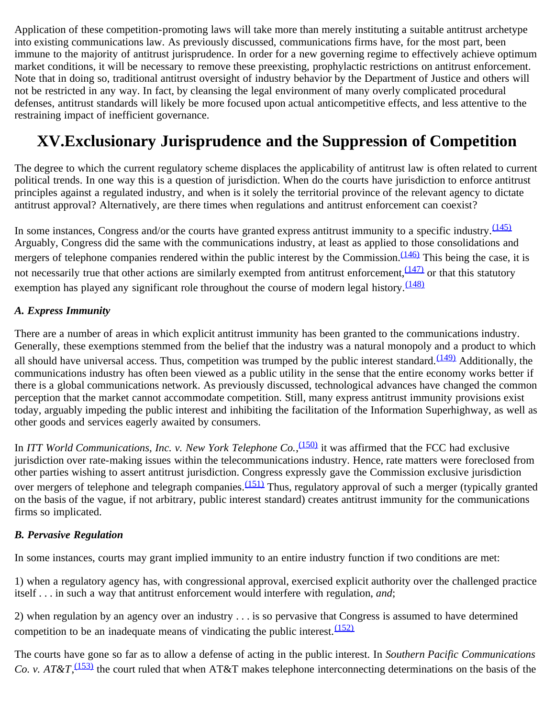Application of these competition-promoting laws will take more than merely instituting a suitable antitrust archetype into existing communications law. As previously discussed, communications firms have, for the most part, been immune to the majority of antitrust jurisprudence. In order for a new governing regime to effectively achieve optimum market conditions, it will be necessary to remove these preexisting, prophylactic restrictions on antitrust enforcement. Note that in doing so, traditional antitrust oversight of industry behavior by the Department of Justice and others will not be restricted in any way. In fact, by cleansing the legal environment of many overly complicated procedural defenses, antitrust standards will likely be more focused upon actual anticompetitive effects, and less attentive to the restraining impact of inefficient governance.

# **XV.Exclusionary Jurisprudence and the Suppression of Competition**

The degree to which the current regulatory scheme displaces the applicability of antitrust law is often related to current political trends. In one way this is a question of jurisdiction. When do the courts have jurisdiction to enforce antitrust principles against a regulated industry, and when is it solely the territorial province of the relevant agency to dictate antitrust approval? Alternatively, are there times when regulations and antitrust enforcement can coexist?

In some instances, Congress and/or the courts have granted express antitrust immunity to a specific industry. $\frac{(145)}{2}$  $\frac{(145)}{2}$  $\frac{(145)}{2}$ Arguably, Congress did the same with the communications industry, at least as applied to those consolidations and mergers of telephone companies rendered within the public interest by the Commission.<sup>(146)</sup> This being the case, it is not necessarily true that other actions are similarly exempted from antitrust enforcement,  $(147)$  or that this statutory exemption has played any significant role throughout the course of modern legal history.<sup>[\(148\)](#page-26-3)</sup>

#### *A. Express Immunity*

There are a number of areas in which explicit antitrust immunity has been granted to the communications industry. Generally, these exemptions stemmed from the belief that the industry was a natural monopoly and a product to which all should have universal access. Thus, competition was trumped by the public interest standard.  $(149)$  Additionally, the communications industry has often been viewed as a public utility in the sense that the entire economy works better if there is a global communications network. As previously discussed, technological advances have changed the common perception that the market cannot accommodate competition. Still, many express antitrust immunity provisions exist today, arguably impeding the public interest and inhibiting the facilitation of the Information Superhighway, as well as other goods and services eagerly awaited by consumers.

In *ITT World Communications, Inc. v. New York Telephone Co.*, <sup>(150)</sup> it was affirmed that the FCC had exclusive jurisdiction over rate-making issues within the telecommunications industry. Hence, rate matters were foreclosed from other parties wishing to assert antitrust jurisdiction. Congress expressly gave the Commission exclusive jurisdiction over mergers of telephone and telegraph companies.  $(151)$  Thus, regulatory approval of such a merger (typically granted on the basis of the vague, if not arbitrary, public interest standard) creates antitrust immunity for the communications firms so implicated.

#### *B. Pervasive Regulation*

In some instances, courts may grant implied immunity to an entire industry function if two conditions are met:

1) when a regulatory agency has, with congressional approval, exercised explicit authority over the challenged practice itself . . . in such a way that antitrust enforcement would interfere with regulation, *and*;

2) when regulation by an agency over an industry . . . is so pervasive that Congress is assumed to have determined competition to be an inadequate means of vindicating the public interest.  $(152)$ 

The courts have gone so far as to allow a defense of acting in the public interest. In *Southern Pacific Communications Co. v.*  $AT\&T$ ,  $(153)$  the court ruled that when AT&T makes telephone interconnecting determinations on the basis of the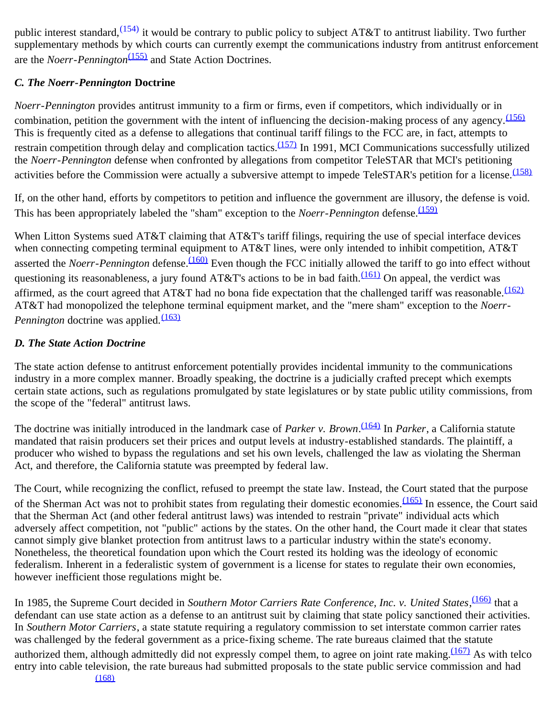public interest standard,  $(154)$  it would be contrary to public policy to subject AT&T to antitrust liability. Two further supplementary methods by which courts can currently exempt the communications industry from antitrust enforcement are the *Noerr-Pennington*<sup>[\(155\)](#page-26-10)</sup> and State Action Doctrines.

#### *C. The Noerr-Pennington* **Doctrine**

*Noerr-Pennington* provides antitrust immunity to a firm or firms, even if competitors, which individually or in combination, petition the government with the intent of influencing the decision-making process of any agency. $\frac{(156)}{2}$  $\frac{(156)}{2}$  $\frac{(156)}{2}$ This is frequently cited as a defense to allegations that continual tariff filings to the FCC are, in fact, attempts to restrain competition through delay and complication tactics. $(157)$  In 1991, MCI Communications successfully utilized the *Noerr-Pennington* defense when confronted by allegations from competitor TeleSTAR that MCI's petitioning activities before the Commission were actually a subversive attempt to impede TeleSTAR's petition for a license.<sup>[\(158\)](#page-26-13)</sup>

If, on the other hand, efforts by competitors to petition and influence the government are illusory, the defense is void. This has been appropriately labeled the "sham" exception to the *Noerr-Pennington* defense.<sup>[\(159\)](#page-26-14)</sup>

When Litton Systems sued AT&T claiming that AT&T's tariff filings, requiring the use of special interface devices when connecting competing terminal equipment to AT&T lines, were only intended to inhibit competition, AT&T asserted the *Noerr-Pennington* defense.<sup>(160)</sup> Even though the FCC initially allowed the tariff to go into effect without questioning its reasonableness, a jury found AT&T's actions to be in bad faith.<sup>(161)</sup> On appeal, the verdict was affirmed, as the court agreed that AT&T had no bona fide expectation that the challenged tariff was reasonable. $\frac{(162)}{2}$  $\frac{(162)}{2}$  $\frac{(162)}{2}$ AT&T had monopolized the telephone terminal equipment market, and the "mere sham" exception to the *Noerr-Pennington* doctrine was applied.<sup>[\(163\)](#page-26-18)</sup>

#### *D. The State Action Doctrine*

The state action defense to antitrust enforcement potentially provides incidental immunity to the communications industry in a more complex manner. Broadly speaking, the doctrine is a judicially crafted precept which exempts certain state actions, such as regulations promulgated by state legislatures or by state public utility commissions, from the scope of the "federal" antitrust laws.

The doctrine was initially introduced in the landmark case of *Parker v. Brown*.<sup>(164)</sup> In *Parker*, a California statute mandated that raisin producers set their prices and output levels at industry-established standards. The plaintiff, a producer who wished to bypass the regulations and set his own levels, challenged the law as violating the Sherman Act, and therefore, the California statute was preempted by federal law.

The Court, while recognizing the conflict, refused to preempt the state law. Instead, the Court stated that the purpose of the Sherman Act was not to prohibit states from regulating their domestic economies.<sup>[\(165\)](#page-26-20)</sup> In essence, the Court said that the Sherman Act (and other federal antitrust laws) was intended to restrain "private" individual acts which adversely affect competition, not "public" actions by the states. On the other hand, the Court made it clear that states cannot simply give blanket protection from antitrust laws to a particular industry within the state's economy. Nonetheless, the theoretical foundation upon which the Court rested its holding was the ideology of economic federalism. Inherent in a federalistic system of government is a license for states to regulate their own economies, however inefficient those regulations might be.

In 1985, the Supreme Court decided in *Southern Motor Carriers Rate Conference*, Inc. v. United States,  $\frac{(166)}{100}$  that a defendant can use state action as a defense to an antitrust suit by claiming that state policy sanctioned their activities. In *Southern Motor Carriers*, a state statute requiring a regulatory commission to set interstate common carrier rates was challenged by the federal government as a price-fixing scheme. The rate bureaus claimed that the statute authorized them, although admittedly did not expressly compel them, to agree on joint rate making.  $(167)$  As with telco entry into cable television, the rate bureaus had submitted proposals to the state public service commission and had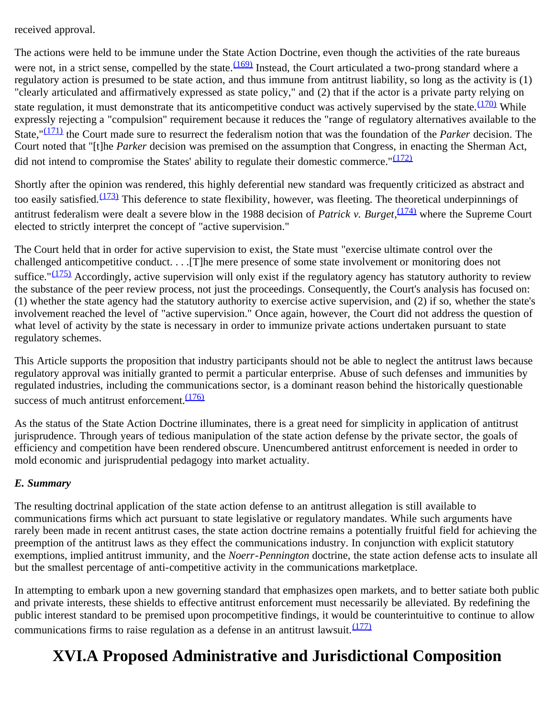received approval.

The actions were held to be immune under the State Action Doctrine, even though the activities of the rate bureaus were not, in a strict sense, compelled by the state.<sup>(169)</sup> Instead, the Court articulated a two-prong standard where a regulatory action is presumed to be state action, and thus immune from antitrust liability, so long as the activity is (1) "clearly articulated and affirmatively expressed as state policy," and (2) that if the actor is a private party relying on state regulation, it must demonstrate that its anticompetitive conduct was actively supervised by the state. $(170)$  While expressly rejecting a "compulsion" requirement because it reduces the "range of regulatory alternatives available to the State,"[\(171\)](#page-27-5) the Court made sure to resurrect the federalism notion that was the foundation of the *Parker* decision. The Court noted that "[t]he *Parker* decision was premised on the assumption that Congress, in enacting the Sherman Act, did not intend to compromise the States' ability to regulate their domestic commerce." $(172)$ 

Shortly after the opinion was rendered, this highly deferential new standard was frequently criticized as abstract and too easily satisfied.<sup>(173)</sup> This deference to state flexibility, however, was fleeting. The theoretical underpinnings of antitrust federalism were dealt a severe blow in the 1988 decision of *Patrick v. Burget*, <sup>[\(174\)](#page-27-8)</sup> where the Supreme Court elected to strictly interpret the concept of "active supervision."

The Court held that in order for active supervision to exist, the State must "exercise ultimate control over the challenged anticompetitive conduct. . . .[T]he mere presence of some state involvement or monitoring does not suffice." $(175)$  Accordingly, active supervision will only exist if the regulatory agency has statutory authority to review the substance of the peer review process, not just the proceedings. Consequently, the Court's analysis has focused on: (1) whether the state agency had the statutory authority to exercise active supervision, and (2) if so, whether the state's involvement reached the level of "active supervision." Once again, however, the Court did not address the question of what level of activity by the state is necessary in order to immunize private actions undertaken pursuant to state regulatory schemes.

This Article supports the proposition that industry participants should not be able to neglect the antitrust laws because regulatory approval was initially granted to permit a particular enterprise. Abuse of such defenses and immunities by regulated industries, including the communications sector, is a dominant reason behind the historically questionable success of much antitrust enforcement. $(176)$ 

As the status of the State Action Doctrine illuminates, there is a great need for simplicity in application of antitrust jurisprudence. Through years of tedious manipulation of the state action defense by the private sector, the goals of efficiency and competition have been rendered obscure. Unencumbered antitrust enforcement is needed in order to mold economic and jurisprudential pedagogy into market actuality.

### *E. Summary*

The resulting doctrinal application of the state action defense to an antitrust allegation is still available to communications firms which act pursuant to state legislative or regulatory mandates. While such arguments have rarely been made in recent antitrust cases, the state action doctrine remains a potentially fruitful field for achieving the preemption of the antitrust laws as they effect the communications industry. In conjunction with explicit statutory exemptions, implied antitrust immunity, and the *Noerr-Pennington* doctrine, the state action defense acts to insulate all but the smallest percentage of anti-competitive activity in the communications marketplace.

In attempting to embark upon a new governing standard that emphasizes open markets, and to better satiate both public and private interests, these shields to effective antitrust enforcement must necessarily be alleviated. By redefining the public interest standard to be premised upon procompetitive findings, it would be counterintuitive to continue to allow communications firms to raise regulation as a defense in an antitrust lawsuit.  $(177)$ 

# **XVI.A Proposed Administrative and Jurisdictional Composition**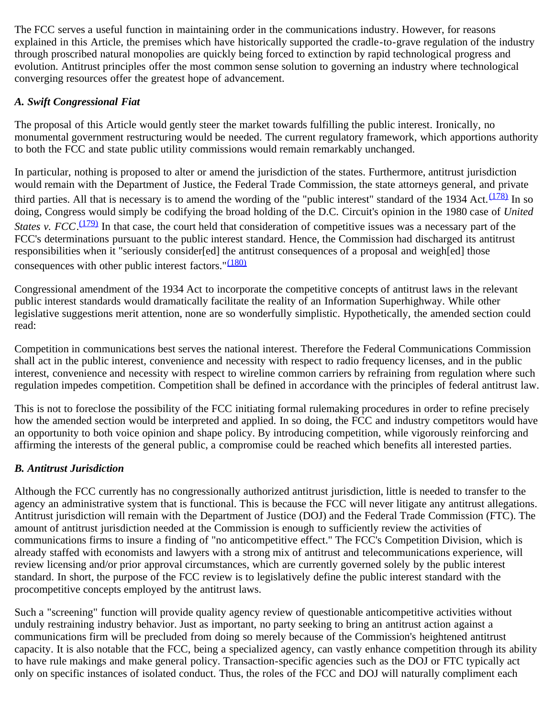The FCC serves a useful function in maintaining order in the communications industry. However, for reasons explained in this Article, the premises which have historically supported the cradle-to-grave regulation of the industry through proscribed natural monopolies are quickly being forced to extinction by rapid technological progress and evolution. Antitrust principles offer the most common sense solution to governing an industry where technological converging resources offer the greatest hope of advancement.

#### *A. Swift Congressional Fiat*

The proposal of this Article would gently steer the market towards fulfilling the public interest. Ironically, no monumental government restructuring would be needed. The current regulatory framework, which apportions authority to both the FCC and state public utility commissions would remain remarkably unchanged.

In particular, nothing is proposed to alter or amend the jurisdiction of the states. Furthermore, antitrust jurisdiction would remain with the Department of Justice, the Federal Trade Commission, the state attorneys general, and private third parties. All that is necessary is to amend the wording of the "public interest" standard of the  $1934$  Act.  $\frac{(178)}{10}$  In so doing, Congress would simply be codifying the broad holding of the D.C. Circuit's opinion in the 1980 case of *United States v. FCC*.<sup>[\(179\)](#page-27-13)</sup> In that case, the court held that consideration of competitive issues was a necessary part of the FCC's determinations pursuant to the public interest standard. Hence, the Commission had discharged its antitrust responsibilities when it "seriously consider[ed] the antitrust consequences of a proposal and weigh[ed] those consequences with other public interest factors."<sup>[\(180\)](#page-27-14)</sup>

Congressional amendment of the 1934 Act to incorporate the competitive concepts of antitrust laws in the relevant public interest standards would dramatically facilitate the reality of an Information Superhighway. While other legislative suggestions merit attention, none are so wonderfully simplistic. Hypothetically, the amended section could read:

Competition in communications best serves the national interest. Therefore the Federal Communications Commission shall act in the public interest, convenience and necessity with respect to radio frequency licenses, and in the public interest, convenience and necessity with respect to wireline common carriers by refraining from regulation where such regulation impedes competition. Competition shall be defined in accordance with the principles of federal antitrust law.

This is not to foreclose the possibility of the FCC initiating formal rulemaking procedures in order to refine precisely how the amended section would be interpreted and applied. In so doing, the FCC and industry competitors would have an opportunity to both voice opinion and shape policy. By introducing competition, while vigorously reinforcing and affirming the interests of the general public, a compromise could be reached which benefits all interested parties.

### *B. Antitrust Jurisdiction*

Although the FCC currently has no congressionally authorized antitrust jurisdiction, little is needed to transfer to the agency an administrative system that is functional. This is because the FCC will never litigate any antitrust allegations. Antitrust jurisdiction will remain with the Department of Justice (DOJ) and the Federal Trade Commission (FTC). The amount of antitrust jurisdiction needed at the Commission is enough to sufficiently review the activities of communications firms to insure a finding of "no anticompetitive effect." The FCC's Competition Division, which is already staffed with economists and lawyers with a strong mix of antitrust and telecommunications experience, will review licensing and/or prior approval circumstances, which are currently governed solely by the public interest standard. In short, the purpose of the FCC review is to legislatively define the public interest standard with the procompetitive concepts employed by the antitrust laws.

Such a "screening" function will provide quality agency review of questionable anticompetitive activities without unduly restraining industry behavior. Just as important, no party seeking to bring an antitrust action against a communications firm will be precluded from doing so merely because of the Commission's heightened antitrust capacity. It is also notable that the FCC, being a specialized agency, can vastly enhance competition through its ability to have rule makings and make general policy. Transaction-specific agencies such as the DOJ or FTC typically act only on specific instances of isolated conduct. Thus, the roles of the FCC and DOJ will naturally compliment each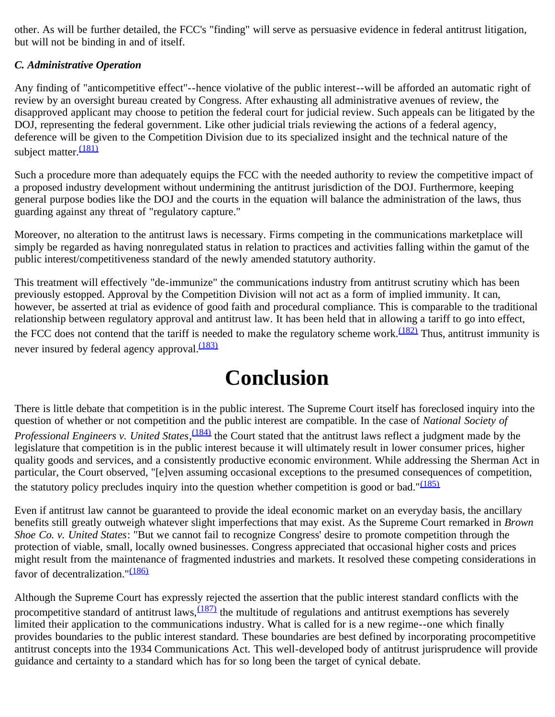other. As will be further detailed, the FCC's "finding" will serve as persuasive evidence in federal antitrust litigation, but will not be binding in and of itself.

#### *C. Administrative Operation*

Any finding of "anticompetitive effect"--hence violative of the public interest--will be afforded an automatic right of review by an oversight bureau created by Congress. After exhausting all administrative avenues of review, the disapproved applicant may choose to petition the federal court for judicial review. Such appeals can be litigated by the DOJ, representing the federal government. Like other judicial trials reviewing the actions of a federal agency, deference will be given to the Competition Division due to its specialized insight and the technical nature of the subject matter. $\frac{(181)}{2}$  $\frac{(181)}{2}$  $\frac{(181)}{2}$ 

Such a procedure more than adequately equips the FCC with the needed authority to review the competitive impact of a proposed industry development without undermining the antitrust jurisdiction of the DOJ. Furthermore, keeping general purpose bodies like the DOJ and the courts in the equation will balance the administration of the laws, thus guarding against any threat of "regulatory capture."

Moreover, no alteration to the antitrust laws is necessary. Firms competing in the communications marketplace will simply be regarded as having nonregulated status in relation to practices and activities falling within the gamut of the public interest/competitiveness standard of the newly amended statutory authority.

This treatment will effectively "de-immunize" the communications industry from antitrust scrutiny which has been previously estopped. Approval by the Competition Division will not act as a form of implied immunity. It can, however, be asserted at trial as evidence of good faith and procedural compliance. This is comparable to the traditional relationship between regulatory approval and antitrust law. It has been held that in allowing a tariff to go into effect, the FCC does not contend that the tariff is needed to make the regulatory scheme work. $(182)$  Thus, antitrust immunity is never insured by federal agency approval.  $\frac{(183)}{2}$  $\frac{(183)}{2}$  $\frac{(183)}{2}$ 

# **Conclusion**

There is little debate that competition is in the public interest. The Supreme Court itself has foreclosed inquiry into the question of whether or not competition and the public interest are compatible. In the case of *National Society of* Professional Engineers v. United States, <sup>(184)</sup> the Court stated that the antitrust laws reflect a judgment made by the legislature that competition is in the public interest because it will ultimately result in lower consumer prices, higher quality goods and services, and a consistently productive economic environment. While addressing the Sherman Act in particular, the Court observed, "[e]ven assuming occasional exceptions to the presumed consequences of competition, the statutory policy precludes inquiry into the question whether competition is good or bad." $(185)$ 

Even if antitrust law cannot be guaranteed to provide the ideal economic market on an everyday basis, the ancillary benefits still greatly outweigh whatever slight imperfections that may exist. As the Supreme Court remarked in *Brown Shoe Co. v. United States*: "But we cannot fail to recognize Congress' desire to promote competition through the protection of viable, small, locally owned businesses. Congress appreciated that occasional higher costs and prices might result from the maintenance of fragmented industries and markets. It resolved these competing considerations in favor of decentralization."<sup>[\(186\)](#page-27-20)</sup>

Although the Supreme Court has expressly rejected the assertion that the public interest standard conflicts with the procompetitive standard of antitrust laws,  $\frac{(187)}{2}$  the multitude of regulations and antitrust exemptions has severely limited their application to the communications industry. What is called for is a new regime--one which finally provides boundaries to the public interest standard. These boundaries are best defined by incorporating procompetitive antitrust concepts into the 1934 Communications Act. This well-developed body of antitrust jurisprudence will provide guidance and certainty to a standard which has for so long been the target of cynical debate.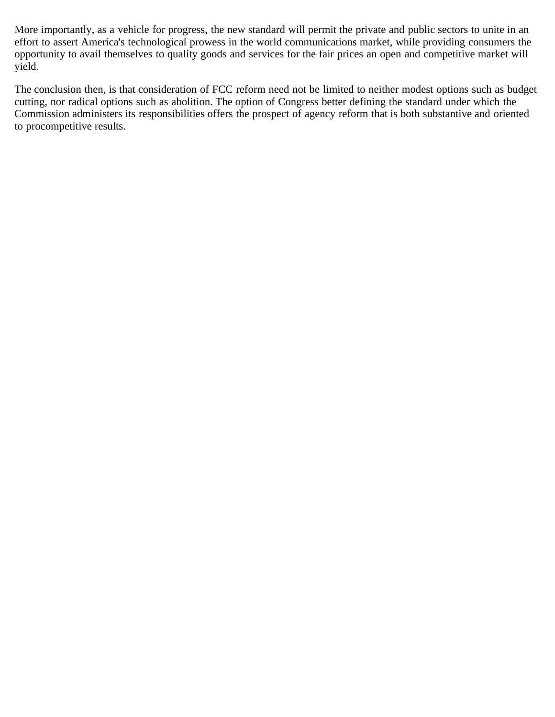More importantly, as a vehicle for progress, the new standard will permit the private and public sectors to unite in an effort to assert America's technological prowess in the world communications market, while providing consumers the opportunity to avail themselves to quality goods and services for the fair prices an open and competitive market will yield.

The conclusion then, is that consideration of FCC reform need not be limited to neither modest options such as budget cutting, nor radical options such as abolition. The option of Congress better defining the standard under which the Commission administers its responsibilities offers the prospect of agency reform that is both substantive and oriented to procompetitive results.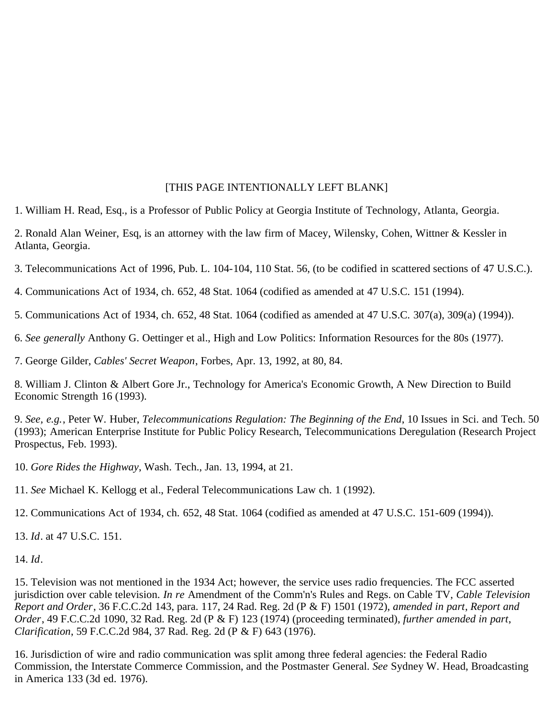#### [THIS PAGE INTENTIONALLY LEFT BLANK]

<span id="page-18-0"></span>1. William H. Read, Esq., is a Professor of Public Policy at Georgia Institute of Technology, Atlanta, Georgia.

<span id="page-18-1"></span>2. Ronald Alan Weiner, Esq, is an attorney with the law firm of Macey, Wilensky, Cohen, Wittner & Kessler in Atlanta, Georgia.

<span id="page-18-2"></span>3. Telecommunications Act of 1996, Pub. L. 104-104, 110 Stat. 56, (to be codified in scattered sections of 47 U.S.C.).

<span id="page-18-3"></span>4. Communications Act of 1934, ch. 652, 48 Stat. 1064 (codified as amended at 47 U.S.C. 151 (1994).

<span id="page-18-4"></span>5. Communications Act of 1934, ch. 652, 48 Stat. 1064 (codified as amended at 47 U.S.C. 307(a), 309(a) (1994)).

<span id="page-18-5"></span>6. *See generally* Anthony G. Oettinger et al., High and Low Politics: Information Resources for the 80s (1977).

<span id="page-18-6"></span>7. George Gilder, *Cables' Secret Weapon*, Forbes, Apr. 13, 1992, at 80, 84.

<span id="page-18-7"></span>8. William J. Clinton & Albert Gore Jr., Technology for America's Economic Growth, A New Direction to Build Economic Strength 16 (1993).

<span id="page-18-8"></span>9. *See, e.g.*, Peter W. Huber, *Telecommunications Regulation: The Beginning of the End*, 10 Issues in Sci. and Tech. 50 (1993); American Enterprise Institute for Public Policy Research, Telecommunications Deregulation (Research Project Prospectus, Feb. 1993).

<span id="page-18-9"></span>10. *Gore Rides the Highway*, Wash. Tech., Jan. 13, 1994, at 21.

<span id="page-18-10"></span>11. *See* Michael K. Kellogg et al., Federal Telecommunications Law ch. 1 (1992).

<span id="page-18-11"></span>12. Communications Act of 1934, ch. 652, 48 Stat. 1064 (codified as amended at 47 U.S.C. 151-609 (1994)).

<span id="page-18-12"></span>13. *Id*. at 47 U.S.C. 151.

<span id="page-18-13"></span>14. *Id*.

<span id="page-18-14"></span>15. Television was not mentioned in the 1934 Act; however, the service uses radio frequencies. The FCC asserted jurisdiction over cable television. *In re* Amendment of the Comm'n's Rules and Regs. on Cable TV, *Cable Television Report and Order*, 36 F.C.C.2d 143, para. 117, 24 Rad. Reg. 2d (P & F) 1501 (1972), *amended in part*, *Report and Order*, 49 F.C.C.2d 1090, 32 Rad. Reg. 2d (P & F) 123 (1974) (proceeding terminated), *further amended in part*, *Clarification*, 59 F.C.C.2d 984, 37 Rad. Reg. 2d (P & F) 643 (1976).

<span id="page-18-15"></span>16. Jurisdiction of wire and radio communication was split among three federal agencies: the Federal Radio Commission, the Interstate Commerce Commission, and the Postmaster General. *See* Sydney W. Head, Broadcasting in America 133 (3d ed. 1976).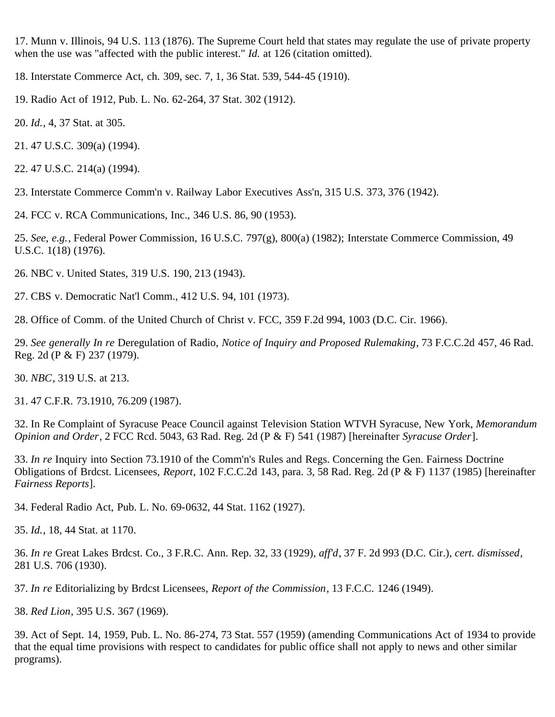<span id="page-19-0"></span>17. Munn v. Illinois, 94 U.S. 113 (1876). The Supreme Court held that states may regulate the use of private property when the use was "affected with the public interest." *Id.* at 126 (citation omitted).

<span id="page-19-1"></span>18. Interstate Commerce Act, ch. 309, sec. 7, 1, 36 Stat. 539, 544-45 (1910).

<span id="page-19-2"></span>19. Radio Act of 1912, Pub. L. No. 62-264, 37 Stat. 302 (1912).

<span id="page-19-3"></span>20. *Id.*, 4, 37 Stat. at 305.

<span id="page-19-4"></span>21. 47 U.S.C. 309(a) (1994).

<span id="page-19-5"></span>22. 47 U.S.C. 214(a) (1994).

<span id="page-19-6"></span>23. Interstate Commerce Comm'n v. Railway Labor Executives Ass'n, 315 U.S. 373, 376 (1942).

<span id="page-19-7"></span>24. FCC v. RCA Communications, Inc., 346 U.S. 86, 90 (1953).

<span id="page-19-8"></span>25. *See, e.g.*, Federal Power Commission, 16 U.S.C. 797(g), 800(a) (1982); Interstate Commerce Commission, 49 U.S.C. 1(18) (1976).

<span id="page-19-9"></span>26. NBC v. United States, 319 U.S. 190, 213 (1943).

<span id="page-19-10"></span>27. CBS v. Democratic Nat'l Comm., 412 U.S. 94, 101 (1973).

<span id="page-19-11"></span>28. Office of Comm. of the United Church of Christ v. FCC, 359 F.2d 994, 1003 (D.C. Cir. 1966).

<span id="page-19-12"></span>29. *See generally In re* Deregulation of Radio, *Notice of Inquiry and Proposed Rulemaking*, 73 F.C.C.2d 457, 46 Rad. Reg. 2d (P & F) 237 (1979).

<span id="page-19-13"></span>30. *NBC*, 319 U.S. at 213.

<span id="page-19-14"></span>31. 47 C.F.R. 73.1910, 76.209 (1987).

<span id="page-19-15"></span>32. In Re Complaint of Syracuse Peace Council against Television Station WTVH Syracuse, New York, *Memorandum Opinion and Order*, 2 FCC Rcd. 5043, 63 Rad. Reg. 2d (P & F) 541 (1987) [hereinafter *Syracuse Order*].

<span id="page-19-16"></span>33. *In re* Inquiry into Section 73.1910 of the Comm'n's Rules and Regs. Concerning the Gen. Fairness Doctrine Obligations of Brdcst. Licensees, *Report*, 102 F.C.C.2d 143, para. 3, 58 Rad. Reg. 2d (P & F) 1137 (1985) [hereinafter *Fairness Reports*].

<span id="page-19-17"></span>34. Federal Radio Act, Pub. L. No. 69-0632, 44 Stat. 1162 (1927).

<span id="page-19-18"></span>35. *Id.*, 18, 44 Stat. at 1170.

<span id="page-19-19"></span>36. *In re* Great Lakes Brdcst. Co., 3 F.R.C. Ann. Rep. 32, 33 (1929), *aff'd*, 37 F. 2d 993 (D.C. Cir.), *cert. dismissed*, 281 U.S. 706 (1930).

<span id="page-19-20"></span>37. *In re* Editorializing by Brdcst Licensees, *Report of the Commission*, 13 F.C.C. 1246 (1949).

<span id="page-19-21"></span>38. *Red Lion*, 395 U.S. 367 (1969).

<span id="page-19-22"></span>39. Act of Sept. 14, 1959, Pub. L. No. 86-274, 73 Stat. 557 (1959) (amending Communications Act of 1934 to provide that the equal time provisions with respect to candidates for public office shall not apply to news and other similar programs).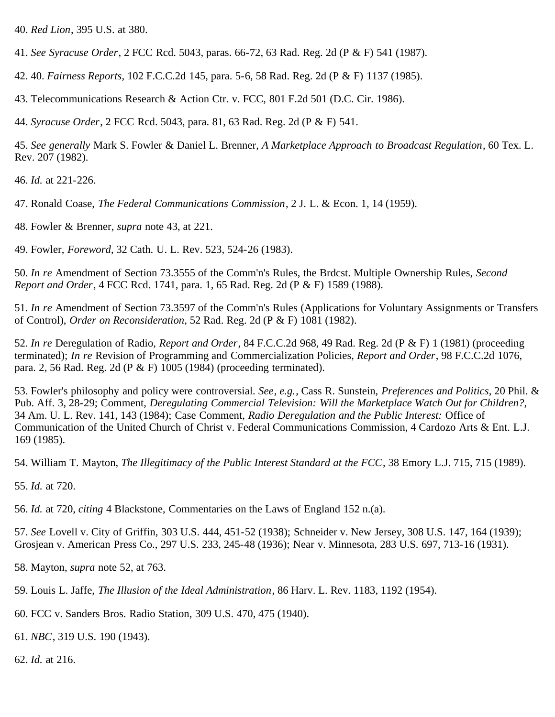<span id="page-20-0"></span>40. *Red Lion*, 395 U.S. at 380.

<span id="page-20-1"></span>41. *See Syracuse Order*, 2 FCC Rcd. 5043, paras. 66-72, 63 Rad. Reg. 2d (P & F) 541 (1987).

<span id="page-20-2"></span>42. 40. *Fairness Reports*, 102 F.C.C.2d 145, para. 5-6, 58 Rad. Reg. 2d (P & F) 1137 (1985).

<span id="page-20-3"></span>43. Telecommunications Research & Action Ctr. v. FCC, 801 F.2d 501 (D.C. Cir. 1986).

<span id="page-20-4"></span>44. *Syracuse Order*, 2 FCC Rcd. 5043, para. 81, 63 Rad. Reg. 2d (P & F) 541.

<span id="page-20-5"></span>45. *See generally* Mark S. Fowler & Daniel L. Brenner, *A Marketplace Approach to Broadcast Regulation*, 60 Tex. L. Rev. 207 (1982).

<span id="page-20-6"></span>46. *Id.* at 221-226.

<span id="page-20-7"></span>47. Ronald Coase, *The Federal Communications Commission*, 2 J. L. & Econ. 1, 14 (1959).

<span id="page-20-8"></span>48. Fowler & Brenner, *supra* note 43, at 221.

<span id="page-20-9"></span>49. Fowler, *Foreword*, 32 Cath. U. L. Rev. 523, 524-26 (1983).

<span id="page-20-10"></span>50. *In re* Amendment of Section 73.3555 of the Comm'n's Rules, the Brdcst. Multiple Ownership Rules, *Second Report and Order*, 4 FCC Rcd. 1741, para. 1, 65 Rad. Reg. 2d (P & F) 1589 (1988).

<span id="page-20-11"></span>51. *In re* Amendment of Section 73.3597 of the Comm'n's Rules (Applications for Voluntary Assignments or Transfers of Control), *Order on Reconsideration*, 52 Rad. Reg. 2d (P & F) 1081 (1982).

<span id="page-20-12"></span>52. *In re* Deregulation of Radio, *Report and Order*, 84 F.C.C.2d 968, 49 Rad. Reg. 2d (P & F) 1 (1981) (proceeding terminated); *In re* Revision of Programming and Commercialization Policies, *Report and Order*, 98 F.C.C.2d 1076, para. 2, 56 Rad. Reg. 2d (P  $&$  F) 1005 (1984) (proceeding terminated).

<span id="page-20-13"></span>53. Fowler's philosophy and policy were controversial. *See*, *e.g.*, Cass R. Sunstein, *Preferences and Politics*, 20 Phil. & Pub. Aff. 3, 28-29; Comment, *Deregulating Commercial Television: Will the Marketplace Watch Out for Children?*, 34 Am. U. L. Rev. 141, 143 (1984); Case Comment, *Radio Deregulation and the Public Interest:* Office of Communication of the United Church of Christ v. Federal Communications Commission, 4 Cardozo Arts & Ent. L.J. 169 (1985).

<span id="page-20-14"></span>54. William T. Mayton, *The Illegitimacy of the Public Interest Standard at the FCC*, 38 Emory L.J. 715, 715 (1989).

<span id="page-20-15"></span>55. *Id.* at 720.

<span id="page-20-16"></span>56. *Id.* at 720, *citing* 4 Blackstone, Commentaries on the Laws of England 152 n.(a).

<span id="page-20-17"></span>57. *See* Lovell v. City of Griffin, 303 U.S. 444, 451-52 (1938); Schneider v. New Jersey, 308 U.S. 147, 164 (1939); Grosjean v. American Press Co., 297 U.S. 233, 245-48 (1936); Near v. Minnesota, 283 U.S. 697, 713-16 (1931).

<span id="page-20-18"></span>58. Mayton, *supra* note 52, at 763.

<span id="page-20-19"></span>59. Louis L. Jaffe, *The Illusion of the Ideal Administration*, 86 Harv. L. Rev. 1183, 1192 (1954).

<span id="page-20-20"></span>60. FCC v. Sanders Bros. Radio Station, 309 U.S. 470, 475 (1940).

<span id="page-20-21"></span>61. *NBC*, 319 U.S. 190 (1943).

<span id="page-20-22"></span>62. *Id.* at 216.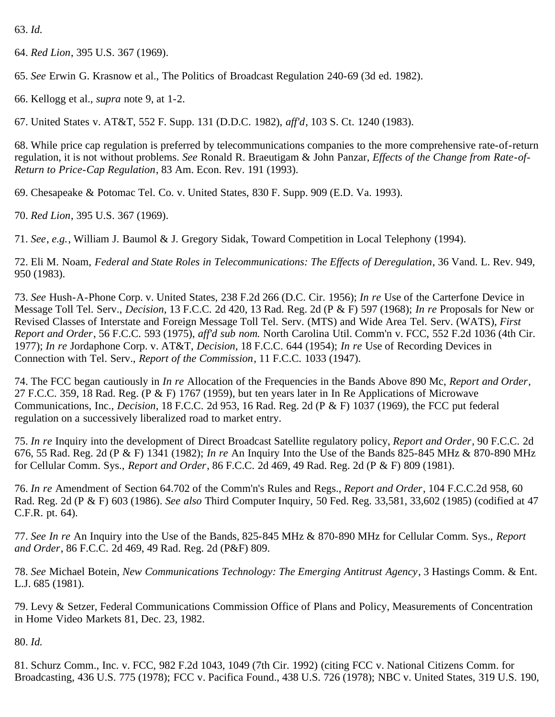<span id="page-21-0"></span>63. *Id.*

<span id="page-21-1"></span>64. *Red Lion*, 395 U.S. 367 (1969).

<span id="page-21-2"></span>65. *See* Erwin G. Krasnow et al., The Politics of Broadcast Regulation 240-69 (3d ed. 1982).

<span id="page-21-3"></span>66. Kellogg et al., *supra* note 9, at 1-2.

<span id="page-21-4"></span>67. United States v. AT&T, 552 F. Supp. 131 (D.D.C. 1982), *aff'd*, 103 S. Ct. 1240 (1983).

<span id="page-21-5"></span>68. While price cap regulation is preferred by telecommunications companies to the more comprehensive rate-of-return regulation, it is not without problems. *See* Ronald R. Braeutigam & John Panzar, *Effects of the Change from Rate-of-Return to Price-Cap Regulation*, 83 Am. Econ. Rev. 191 (1993).

<span id="page-21-6"></span>69. Chesapeake & Potomac Tel. Co. v. United States, 830 F. Supp. 909 (E.D. Va. 1993).

<span id="page-21-7"></span>70. *Red Lion*, 395 U.S. 367 (1969).

<span id="page-21-8"></span>71. *See*, *e.g.*, William J. Baumol & J. Gregory Sidak, Toward Competition in Local Telephony (1994).

<span id="page-21-9"></span>72. Eli M. Noam, *Federal and State Roles in Telecommunications: The Effects of Deregulation*, 36 Vand. L. Rev. 949, 950 (1983).

<span id="page-21-10"></span>73. *See* Hush-A-Phone Corp. v. United States, 238 F.2d 266 (D.C. Cir. 1956); *In re* Use of the Carterfone Device in Message Toll Tel. Serv., *Decision*, 13 F.C.C. 2d 420, 13 Rad. Reg. 2d (P & F) 597 (1968); *In re* Proposals for New or Revised Classes of Interstate and Foreign Message Toll Tel. Serv. (MTS) and Wide Area Tel. Serv. (WATS), *First Report and Order*, 56 F.C.C. 593 (1975), *aff'd sub nom.* North Carolina Util. Comm'n v. FCC, 552 F.2d 1036 (4th Cir. 1977); *In re* Jordaphone Corp. v. AT&T, *Decision*, 18 F.C.C. 644 (1954); *In re* Use of Recording Devices in Connection with Tel. Serv., *Report of the Commission*, 11 F.C.C. 1033 (1947).

<span id="page-21-11"></span>74. The FCC began cautiously in *In re* Allocation of the Frequencies in the Bands Above 890 Mc, *Report and Order*, 27 F.C.C. 359, 18 Rad. Reg. (P & F) 1767 (1959), but ten years later in In Re Applications of Microwave Communications, Inc., *Decision*, 18 F.C.C. 2d 953, 16 Rad. Reg. 2d (P & F) 1037 (1969), the FCC put federal regulation on a successively liberalized road to market entry.

<span id="page-21-12"></span>75. *In re* Inquiry into the development of Direct Broadcast Satellite regulatory policy, *Report and Order*, 90 F.C.C. 2d 676, 55 Rad. Reg. 2d (P & F) 1341 (1982); *In re* An Inquiry Into the Use of the Bands 825-845 MHz & 870-890 MHz for Cellular Comm. Sys., *Report and Order*, 86 F.C.C. 2d 469, 49 Rad. Reg. 2d (P & F) 809 (1981).

<span id="page-21-13"></span>76. *In re* Amendment of Section 64.702 of the Comm'n's Rules and Regs., *Report and Order*, 104 F.C.C.2d 958, 60 Rad. Reg. 2d (P & F) 603 (1986). *See also* Third Computer Inquiry, 50 Fed. Reg. 33,581, 33,602 (1985) (codified at 47 C.F.R. pt. 64).

<span id="page-21-14"></span>77. *See In re* An Inquiry into the Use of the Bands, 825-845 MHz & 870-890 MHz for Cellular Comm. Sys., *Report and Order*, 86 F.C.C. 2d 469, 49 Rad. Reg. 2d (P&F) 809.

<span id="page-21-15"></span>78. *See* Michael Botein, *New Communications Technology: The Emerging Antitrust Agency*, 3 Hastings Comm. & Ent. L.J. 685 (1981).

<span id="page-21-16"></span>79. Levy & Setzer, Federal Communications Commission Office of Plans and Policy, Measurements of Concentration in Home Video Markets 81, Dec. 23, 1982.

<span id="page-21-17"></span>80. *Id.*

<span id="page-21-18"></span>81. Schurz Comm., Inc. v. FCC, 982 F.2d 1043, 1049 (7th Cir. 1992) (citing FCC v. National Citizens Comm. for Broadcasting, 436 U.S. 775 (1978); FCC v. Pacifica Found., 438 U.S. 726 (1978); NBC v. United States, 319 U.S. 190,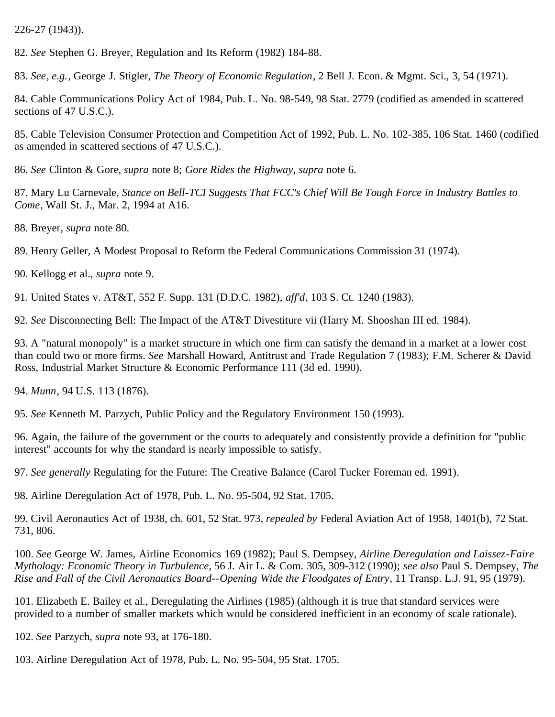226-27 (1943)).

<span id="page-22-0"></span>82. *See* Stephen G. Breyer, Regulation and Its Reform (1982) 184-88.

<span id="page-22-1"></span>83. *See*, *e.g.*, George J. Stigler, *The Theory of Economic Regulation*, 2 Bell J. Econ. & Mgmt. Sci., 3, 54 (1971).

<span id="page-22-2"></span>84. Cable Communications Policy Act of 1984, Pub. L. No. 98-549, 98 Stat. 2779 (codified as amended in scattered sections of 47 U.S.C.).

<span id="page-22-3"></span>85. Cable Television Consumer Protection and Competition Act of 1992, Pub. L. No. 102-385, 106 Stat. 1460 (codified as amended in scattered sections of 47 U.S.C.).

<span id="page-22-4"></span>86. *See* Clinton & Gore, *supra* note 8; *Gore Rides the Highway*, *supra* note 6.

<span id="page-22-5"></span>87. Mary Lu Carnevale, *Stance on Bell-TCI Suggests That FCC's Chief Will Be Tough Force in Industry Battles to Come*, Wall St. J., Mar. 2, 1994 at A16.

<span id="page-22-6"></span>88. Breyer, *supra* note 80.

<span id="page-22-7"></span>89. Henry Geller, A Modest Proposal to Reform the Federal Communications Commission 31 (1974).

<span id="page-22-8"></span>90. Kellogg et al., *supra* note 9.

<span id="page-22-9"></span>91. United States v. AT&T, 552 F. Supp. 131 (D.D.C. 1982), *aff'd*, 103 S. Ct. 1240 (1983).

<span id="page-22-10"></span>92. *See* Disconnecting Bell: The Impact of the AT&T Divestiture vii (Harry M. Shooshan III ed. 1984).

<span id="page-22-11"></span>93. A "natural monopoly" is a market structure in which one firm can satisfy the demand in a market at a lower cost than could two or more firms. *See* Marshall Howard, Antitrust and Trade Regulation 7 (1983); F.M. Scherer & David Ross, Industrial Market Structure & Economic Performance 111 (3d ed. 1990).

<span id="page-22-12"></span>94. *Munn*, 94 U.S. 113 (1876).

<span id="page-22-13"></span>95. *See* Kenneth M. Parzych, Public Policy and the Regulatory Environment 150 (1993).

<span id="page-22-14"></span>96. Again, the failure of the government or the courts to adequately and consistently provide a definition for "public interest" accounts for why the standard is nearly impossible to satisfy.

<span id="page-22-15"></span>97. *See generally* Regulating for the Future: The Creative Balance (Carol Tucker Foreman ed. 1991).

<span id="page-22-16"></span>98. Airline Deregulation Act of 1978, Pub. L. No. 95-504, 92 Stat. 1705.

<span id="page-22-17"></span>99. Civil Aeronautics Act of 1938, ch. 601, 52 Stat. 973, *repealed by* Federal Aviation Act of 1958, 1401(b), 72 Stat. 731, 806.

<span id="page-22-18"></span>100. *See* George W. James, Airline Economics 169 (1982); Paul S. Dempsey, *Airline Deregulation and Laissez-Faire Mythology: Economic Theory in Turbulence*, 56 J. Air L. & Com. 305, 309-312 (1990); *see also* Paul S. Dempsey, *The Rise and Fall of the Civil Aeronautics Board--Opening Wide the Floodgates of Entry*, 11 Transp. L.J. 91, 95 (1979).

<span id="page-22-19"></span>101. Elizabeth E. Bailey et al., Deregulating the Airlines (1985) (although it is true that standard services were provided to a number of smaller markets which would be considered inefficient in an economy of scale rationale).

<span id="page-22-20"></span>102. *See* Parzych, *supra* note 93, at 176-180.

<span id="page-22-21"></span>103. Airline Deregulation Act of 1978, Pub. L. No. 95-504, 95 Stat. 1705.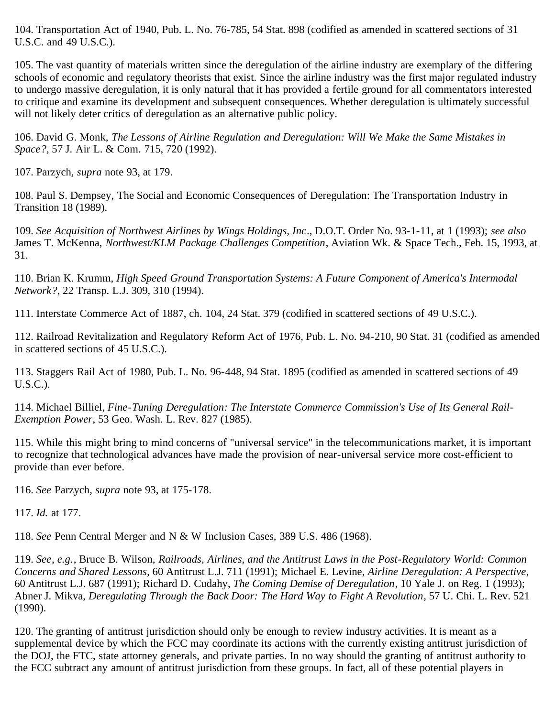<span id="page-23-0"></span>104. Transportation Act of 1940, Pub. L. No. 76-785, 54 Stat. 898 (codified as amended in scattered sections of 31 U.S.C. and 49 U.S.C.).

<span id="page-23-1"></span>105. The vast quantity of materials written since the deregulation of the airline industry are exemplary of the differing schools of economic and regulatory theorists that exist. Since the airline industry was the first major regulated industry to undergo massive deregulation, it is only natural that it has provided a fertile ground for all commentators interested to critique and examine its development and subsequent consequences. Whether deregulation is ultimately successful will not likely deter critics of deregulation as an alternative public policy.

<span id="page-23-2"></span>106. David G. Monk, *The Lessons of Airline Regulation and Deregulation: Will We Make the Same Mistakes in Space?*, 57 J. Air L. & Com. 715, 720 (1992).

<span id="page-23-3"></span>107. Parzych, *supra* note 93, at 179.

<span id="page-23-4"></span>108. Paul S. Dempsey, The Social and Economic Consequences of Deregulation: The Transportation Industry in Transition 18 (1989).

<span id="page-23-5"></span>109. *See Acquisition of Northwest Airlines by Wings Holdings, Inc*., D.O.T. Order No. 93-1-11, at 1 (1993); *see also* James T. McKenna, *Northwest/KLM Package Challenges Competition*, Aviation Wk. & Space Tech., Feb. 15, 1993, at 31.

<span id="page-23-6"></span>110. Brian K. Krumm, *High Speed Ground Transportation Systems: A Future Component of America's Intermodal Network?*, 22 Transp. L.J. 309, 310 (1994).

<span id="page-23-7"></span>111. Interstate Commerce Act of 1887, ch. 104, 24 Stat. 379 (codified in scattered sections of 49 U.S.C.).

<span id="page-23-8"></span>112. Railroad Revitalization and Regulatory Reform Act of 1976, Pub. L. No. 94-210, 90 Stat. 31 (codified as amended in scattered sections of 45 U.S.C.).

<span id="page-23-9"></span>113. Staggers Rail Act of 1980, Pub. L. No. 96-448, 94 Stat. 1895 (codified as amended in scattered sections of 49 U.S.C.).

<span id="page-23-10"></span>114. Michael Billiel, *Fine-Tuning Deregulation: The Interstate Commerce Commission's Use of Its General Rail-Exemption Power*, 53 Geo. Wash. L. Rev. 827 (1985).

<span id="page-23-11"></span>115. While this might bring to mind concerns of "universal service" in the telecommunications market, it is important to recognize that technological advances have made the provision of near-universal service more cost-efficient to provide than ever before.

<span id="page-23-12"></span>116. *See* Parzych, *supra* note 93, at 175-178.

<span id="page-23-13"></span>117. *Id.* at 177.

<span id="page-23-14"></span>118. *See* Penn Central Merger and N & W Inclusion Cases, 389 U.S. 486 (1968).

<span id="page-23-15"></span>119. *See*, *e.g.*, Bruce B. Wilson, *Railroads, Airlines, and the Antitrust Laws in the Post-Regulatory World: Common Concerns and Shared Lessons*, 60 Antitrust L.J. 711 (1991); Michael E. Levine, *Airline Deregulation: A Perspective*, 60 Antitrust L.J. 687 (1991); Richard D. Cudahy, *The Coming Demise of Deregulation*, 10 Yale J. on Reg. 1 (1993); Abner J. Mikva, *Deregulating Through the Back Door: The Hard Way to Fight A Revolution*, 57 U. Chi. L. Rev. 521 (1990).

<span id="page-23-16"></span>120. The granting of antitrust jurisdiction should only be enough to review industry activities. It is meant as a supplemental device by which the FCC may coordinate its actions with the currently existing antitrust jurisdiction of the DOJ, the FTC, state attorney generals, and private parties. In no way should the granting of antitrust authority to the FCC subtract any amount of antitrust jurisdiction from these groups. In fact, all of these potential players in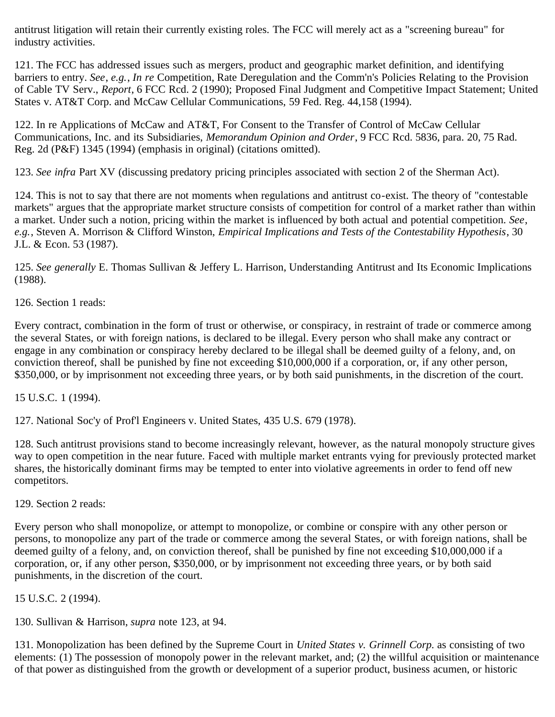antitrust litigation will retain their currently existing roles. The FCC will merely act as a "screening bureau" for industry activities.

<span id="page-24-0"></span>121. The FCC has addressed issues such as mergers, product and geographic market definition, and identifying barriers to entry. *See*, *e.g.*, *In re* Competition, Rate Deregulation and the Comm'n's Policies Relating to the Provision of Cable TV Serv., *Report*, 6 FCC Rcd. 2 (1990); Proposed Final Judgment and Competitive Impact Statement; United States v. AT&T Corp. and McCaw Cellular Communications, 59 Fed. Reg. 44,158 (1994).

<span id="page-24-1"></span>122. In re Applications of McCaw and AT&T, For Consent to the Transfer of Control of McCaw Cellular Communications, Inc. and its Subsidiaries, *Memorandum Opinion and Order*, 9 FCC Rcd. 5836, para. 20, 75 Rad. Reg. 2d (P&F) 1345 (1994) (emphasis in original) (citations omitted).

<span id="page-24-2"></span>123. *See infra* Part XV (discussing predatory pricing principles associated with section 2 of the Sherman Act).

<span id="page-24-3"></span>124. This is not to say that there are not moments when regulations and antitrust co-exist. The theory of "contestable markets" argues that the appropriate market structure consists of competition for control of a market rather than within a market. Under such a notion, pricing within the market is influenced by both actual and potential competition. *See*, *e.g.*, Steven A. Morrison & Clifford Winston, *Empirical Implications and Tests of the Contestability Hypothesis*, 30 J.L. & Econ. 53 (1987).

<span id="page-24-4"></span>125. *See generally* E. Thomas Sullivan & Jeffery L. Harrison, Understanding Antitrust and Its Economic Implications (1988).

<span id="page-24-5"></span>126. Section 1 reads:

Every contract, combination in the form of trust or otherwise, or conspiracy, in restraint of trade or commerce among the several States, or with foreign nations, is declared to be illegal. Every person who shall make any contract or engage in any combination or conspiracy hereby declared to be illegal shall be deemed guilty of a felony, and, on conviction thereof, shall be punished by fine not exceeding \$10,000,000 if a corporation, or, if any other person, \$350,000, or by imprisonment not exceeding three years, or by both said punishments, in the discretion of the court.

15 U.S.C. 1 (1994).

<span id="page-24-6"></span>127. National Soc'y of Prof'l Engineers v. United States, 435 U.S. 679 (1978).

<span id="page-24-7"></span>128. Such antitrust provisions stand to become increasingly relevant, however, as the natural monopoly structure gives way to open competition in the near future. Faced with multiple market entrants vying for previously protected market shares, the historically dominant firms may be tempted to enter into violative agreements in order to fend off new competitors.

<span id="page-24-8"></span>129. Section 2 reads:

Every person who shall monopolize, or attempt to monopolize, or combine or conspire with any other person or persons, to monopolize any part of the trade or commerce among the several States, or with foreign nations, shall be deemed guilty of a felony, and, on conviction thereof, shall be punished by fine not exceeding \$10,000,000 if a corporation, or, if any other person, \$350,000, or by imprisonment not exceeding three years, or by both said punishments, in the discretion of the court.

15 U.S.C. 2 (1994).

<span id="page-24-9"></span>130. Sullivan & Harrison, *supra* note 123, at 94.

<span id="page-24-10"></span>131. Monopolization has been defined by the Supreme Court in *United States v. Grinnell Corp.* as consisting of two elements: (1) The possession of monopoly power in the relevant market, and; (2) the willful acquisition or maintenance of that power as distinguished from the growth or development of a superior product, business acumen, or historic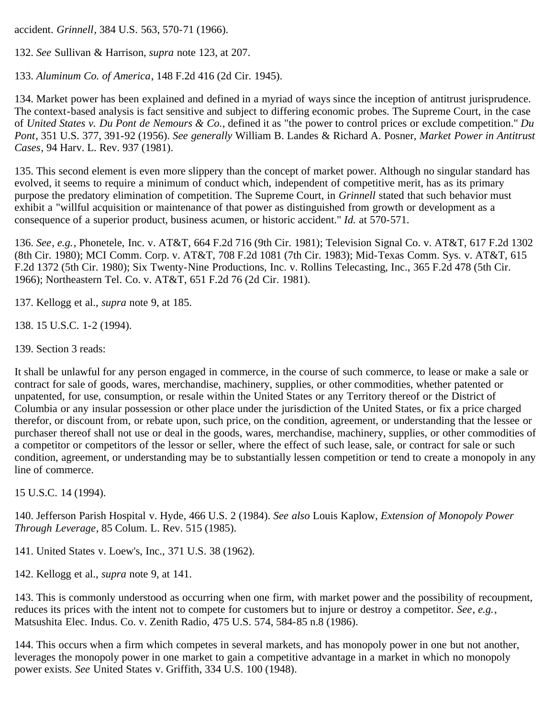accident. *Grinnell*, 384 U.S. 563, 570-71 (1966).

<span id="page-25-0"></span>132. *See* Sullivan & Harrison, *supra* note 123, at 207.

<span id="page-25-1"></span>133. *Aluminum Co. of America*, 148 F.2d 416 (2d Cir. 1945).

<span id="page-25-2"></span>134. Market power has been explained and defined in a myriad of ways since the inception of antitrust jurisprudence. The context-based analysis is fact sensitive and subject to differing economic probes. The Supreme Court, in the case of *United States v. Du Pont de Nemours & Co.*, defined it as "the power to control prices or exclude competition." *Du Pont*, 351 U.S. 377, 391-92 (1956). *See generally* William B. Landes & Richard A. Posner, *Market Power in Antitrust Cases*, 94 Harv. L. Rev. 937 (1981).

<span id="page-25-3"></span>135. This second element is even more slippery than the concept of market power. Although no singular standard has evolved, it seems to require a minimum of conduct which, independent of competitive merit, has as its primary purpose the predatory elimination of competition. The Supreme Court, in *Grinnell* stated that such behavior must exhibit a "willful acquisition or maintenance of that power as distinguished from growth or development as a consequence of a superior product, business acumen, or historic accident." *Id.* at 570-571.

<span id="page-25-4"></span>136. *See*, *e.g.*, Phonetele, Inc. v. AT&T, 664 F.2d 716 (9th Cir. 1981); Television Signal Co. v. AT&T, 617 F.2d 1302 (8th Cir. 1980); MCI Comm. Corp. v. AT&T, 708 F.2d 1081 (7th Cir. 1983); Mid-Texas Comm. Sys. v. AT&T, 615 F.2d 1372 (5th Cir. 1980); Six Twenty-Nine Productions, Inc. v. Rollins Telecasting, Inc., 365 F.2d 478 (5th Cir. 1966); Northeastern Tel. Co. v. AT&T, 651 F.2d 76 (2d Cir. 1981).

<span id="page-25-5"></span>137. Kellogg et al., *supra* note 9, at 185.

<span id="page-25-6"></span>138. 15 U.S.C. 1-2 (1994).

<span id="page-25-7"></span>139. Section 3 reads:

It shall be unlawful for any person engaged in commerce, in the course of such commerce, to lease or make a sale or contract for sale of goods, wares, merchandise, machinery, supplies, or other commodities, whether patented or unpatented, for use, consumption, or resale within the United States or any Territory thereof or the District of Columbia or any insular possession or other place under the jurisdiction of the United States, or fix a price charged therefor, or discount from, or rebate upon, such price, on the condition, agreement, or understanding that the lessee or purchaser thereof shall not use or deal in the goods, wares, merchandise, machinery, supplies, or other commodities of a competitor or competitors of the lessor or seller, where the effect of such lease, sale, or contract for sale or such condition, agreement, or understanding may be to substantially lessen competition or tend to create a monopoly in any line of commerce.

15 U.S.C. 14 (1994).

<span id="page-25-8"></span>140. Jefferson Parish Hospital v. Hyde, 466 U.S. 2 (1984). *See also* Louis Kaplow, *Extension of Monopoly Power Through Leverage*, 85 Colum. L. Rev. 515 (1985).

<span id="page-25-9"></span>141. United States v. Loew's, Inc., 371 U.S. 38 (1962).

<span id="page-25-10"></span>142. Kellogg et al., *supra* note 9, at 141.

<span id="page-25-11"></span>143. This is commonly understood as occurring when one firm, with market power and the possibility of recoupment, reduces its prices with the intent not to compete for customers but to injure or destroy a competitor. *See*, *e.g.*, Matsushita Elec. Indus. Co. v. Zenith Radio, 475 U.S. 574, 584-85 n.8 (1986).

<span id="page-25-12"></span>144. This occurs when a firm which competes in several markets, and has monopoly power in one but not another, leverages the monopoly power in one market to gain a competitive advantage in a market in which no monopoly power exists. *See* United States v. Griffith, 334 U.S. 100 (1948).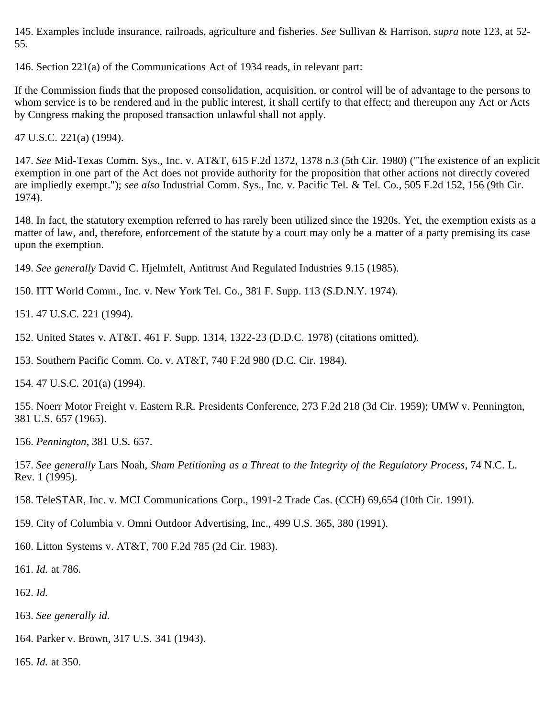<span id="page-26-0"></span>145. Examples include insurance, railroads, agriculture and fisheries. *See* Sullivan & Harrison, *supra* note 123, at 52- 55.

<span id="page-26-1"></span>146. Section 221(a) of the Communications Act of 1934 reads, in relevant part:

If the Commission finds that the proposed consolidation, acquisition, or control will be of advantage to the persons to whom service is to be rendered and in the public interest, it shall certify to that effect; and thereupon any Act or Acts by Congress making the proposed transaction unlawful shall not apply.

47 U.S.C. 221(a) (1994).

<span id="page-26-2"></span>147. *See* Mid-Texas Comm. Sys., Inc. v. AT&T, 615 F.2d 1372, 1378 n.3 (5th Cir. 1980) ("The existence of an explicit exemption in one part of the Act does not provide authority for the proposition that other actions not directly covered are impliedly exempt."); *see also* Industrial Comm. Sys., Inc. v. Pacific Tel. & Tel. Co., 505 F.2d 152, 156 (9th Cir. 1974).

<span id="page-26-3"></span>148. In fact, the statutory exemption referred to has rarely been utilized since the 1920s. Yet, the exemption exists as a matter of law, and, therefore, enforcement of the statute by a court may only be a matter of a party premising its case upon the exemption.

<span id="page-26-4"></span>149. *See generally* David C. Hjelmfelt, Antitrust And Regulated Industries 9.15 (1985).

<span id="page-26-5"></span>150. ITT World Comm., Inc. v. New York Tel. Co., 381 F. Supp. 113 (S.D.N.Y. 1974).

<span id="page-26-6"></span>151. 47 U.S.C. 221 (1994).

<span id="page-26-7"></span>152. United States v. AT&T, 461 F. Supp. 1314, 1322-23 (D.D.C. 1978) (citations omitted).

<span id="page-26-8"></span>153. Southern Pacific Comm. Co. v. AT&T, 740 F.2d 980 (D.C. Cir. 1984).

<span id="page-26-9"></span>154. 47 U.S.C. 201(a) (1994).

<span id="page-26-10"></span>155. Noerr Motor Freight v. Eastern R.R. Presidents Conference, 273 F.2d 218 (3d Cir. 1959); UMW v. Pennington, 381 U.S. 657 (1965).

<span id="page-26-11"></span>156. *Pennington*, 381 U.S. 657.

<span id="page-26-12"></span>157. *See generally* Lars Noah, *Sham Petitioning as a Threat to the Integrity of the Regulatory Process*, 74 N.C. L. Rev. 1 (1995).

<span id="page-26-13"></span>158. TeleSTAR, Inc. v. MCI Communications Corp., 1991-2 Trade Cas. (CCH) 69,654 (10th Cir. 1991).

<span id="page-26-14"></span>159. City of Columbia v. Omni Outdoor Advertising, Inc., 499 U.S. 365, 380 (1991).

<span id="page-26-15"></span>160. Litton Systems v. AT&T, 700 F.2d 785 (2d Cir. 1983).

<span id="page-26-16"></span>161. *Id.* at 786.

<span id="page-26-17"></span>162. *Id.*

<span id="page-26-18"></span>163. *See generally id.*

<span id="page-26-19"></span>164. Parker v. Brown, 317 U.S. 341 (1943).

<span id="page-26-20"></span>165. *Id.* at 350.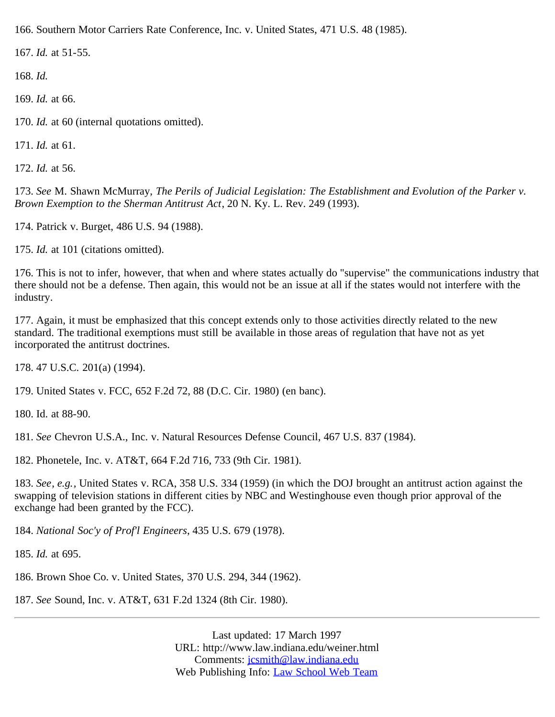<span id="page-27-0"></span>166. Southern Motor Carriers Rate Conference, Inc. v. United States, 471 U.S. 48 (1985).

<span id="page-27-1"></span>167. *Id.* at 51-55.

<span id="page-27-2"></span>168. *Id.*

<span id="page-27-3"></span>169. *Id.* at 66.

<span id="page-27-4"></span>170. *Id.* at 60 (internal quotations omitted).

<span id="page-27-5"></span>171. *Id.* at 61.

<span id="page-27-6"></span>172. *Id.* at 56.

<span id="page-27-7"></span>173. *See* M. Shawn McMurray, *The Perils of Judicial Legislation: The Establishment and Evolution of the Parker v. Brown Exemption to the Sherman Antitrust Act*, 20 N. Ky. L. Rev. 249 (1993).

<span id="page-27-8"></span>174. Patrick v. Burget, 486 U.S. 94 (1988).

<span id="page-27-9"></span>175. *Id.* at 101 (citations omitted).

<span id="page-27-10"></span>176. This is not to infer, however, that when and where states actually do "supervise" the communications industry that there should not be a defense. Then again, this would not be an issue at all if the states would not interfere with the industry.

<span id="page-27-11"></span>177. Again, it must be emphasized that this concept extends only to those activities directly related to the new standard. The traditional exemptions must still be available in those areas of regulation that have not as yet incorporated the antitrust doctrines.

<span id="page-27-12"></span>178. 47 U.S.C. 201(a) (1994).

<span id="page-27-13"></span>179. United States v. FCC, 652 F.2d 72, 88 (D.C. Cir. 1980) (en banc).

<span id="page-27-14"></span>180. Id. at 88-90.

<span id="page-27-15"></span>181. *See* Chevron U.S.A., Inc. v. Natural Resources Defense Council, 467 U.S. 837 (1984).

<span id="page-27-16"></span>182. Phonetele, Inc. v. AT&T, 664 F.2d 716, 733 (9th Cir. 1981).

<span id="page-27-17"></span>183. *See*, *e.g.*, United States v. RCA, 358 U.S. 334 (1959) (in which the DOJ brought an antitrust action against the swapping of television stations in different cities by NBC and Westinghouse even though prior approval of the exchange had been granted by the FCC).

<span id="page-27-18"></span>184. *National Soc'y of Prof'l Engineers*, 435 U.S. 679 (1978).

<span id="page-27-19"></span>185. *Id.* at 695.

<span id="page-27-20"></span>186. Brown Shoe Co. v. United States, 370 U.S. 294, 344 (1962).

<span id="page-27-21"></span>187. *See* Sound, Inc. v. AT&T, 631 F.2d 1324 (8th Cir. 1980).